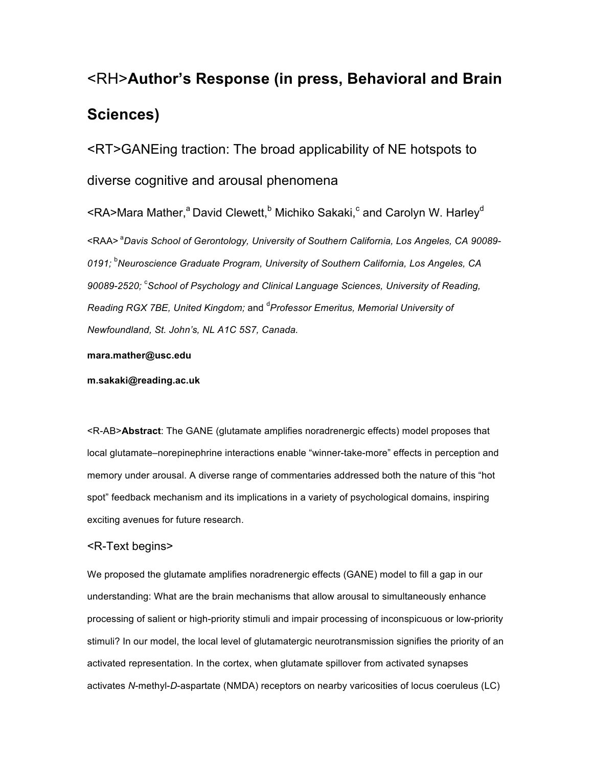# <RH>**Author's Response (in press, Behavioral and Brain Sciences)**

<RT>GANEing traction: The broad applicability of NE hotspots to diverse cognitive and arousal phenomena

<RA>Mara Mather,<sup>a</sup> David Clewett,<sup>b</sup> Michiko Sakaki,<sup>c</sup> and Carolyn W. Harley<sup>d</sup> <RAA><sup>a</sup>*Davis School of Gerontology, University of Southern California, Los Angeles, CA 90089- 0191;* <sup>b</sup> *Neuroscience Graduate Program, University of Southern California, Los Angeles, CA*  90089-2520; Cschool of Psychology and Clinical Language Sciences, University of Reading, Reading RGX 7BE, United Kingdom; and <sup>d</sup>Professor Emeritus, Memorial University of *Newfoundland, St. John's, NL A1C 5S7, Canada.*

# **mara.mather@usc.edu**

# **m.sakaki@reading.ac.uk**

<R-AB>**Abstract**: The GANE (glutamate amplifies noradrenergic effects) model proposes that local glutamate–norepinephrine interactions enable "winner-take-more" effects in perception and memory under arousal. A diverse range of commentaries addressed both the nature of this "hot spot" feedback mechanism and its implications in a variety of psychological domains, inspiring exciting avenues for future research.

# <R-Text begins>

We proposed the glutamate amplifies noradrenergic effects (GANE) model to fill a gap in our understanding: What are the brain mechanisms that allow arousal to simultaneously enhance processing of salient or high-priority stimuli and impair processing of inconspicuous or low-priority stimuli? In our model, the local level of glutamatergic neurotransmission signifies the priority of an activated representation. In the cortex, when glutamate spillover from activated synapses activates *N*-methyl-*D*-aspartate (NMDA) receptors on nearby varicosities of locus coeruleus (LC)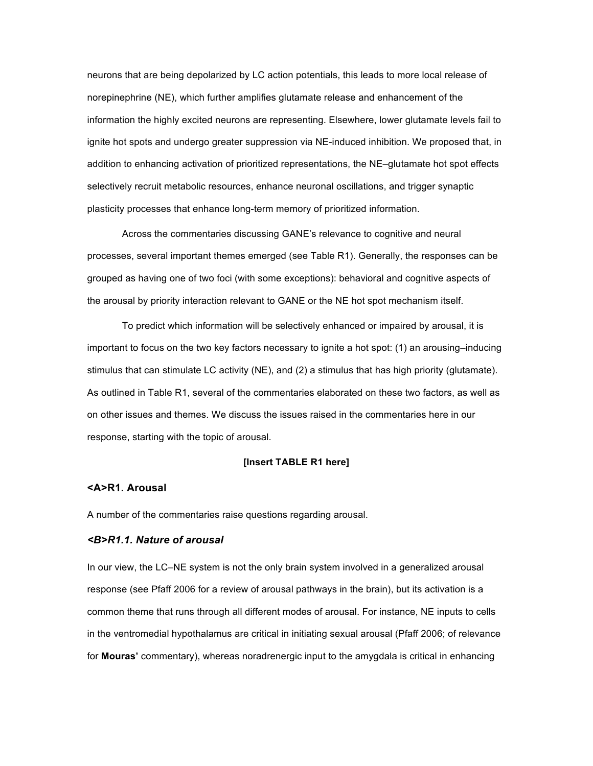neurons that are being depolarized by LC action potentials, this leads to more local release of norepinephrine (NE), which further amplifies glutamate release and enhancement of the information the highly excited neurons are representing. Elsewhere, lower glutamate levels fail to ignite hot spots and undergo greater suppression via NE-induced inhibition. We proposed that, in addition to enhancing activation of prioritized representations, the NE–glutamate hot spot effects selectively recruit metabolic resources, enhance neuronal oscillations, and trigger synaptic plasticity processes that enhance long-term memory of prioritized information.

Across the commentaries discussing GANE's relevance to cognitive and neural processes, several important themes emerged (see Table R1). Generally, the responses can be grouped as having one of two foci (with some exceptions): behavioral and cognitive aspects of the arousal by priority interaction relevant to GANE or the NE hot spot mechanism itself.

To predict which information will be selectively enhanced or impaired by arousal, it is important to focus on the two key factors necessary to ignite a hot spot: (1) an arousing–inducing stimulus that can stimulate LC activity (NE), and (2) a stimulus that has high priority (glutamate). As outlined in Table R1, several of the commentaries elaborated on these two factors, as well as on other issues and themes. We discuss the issues raised in the commentaries here in our response, starting with the topic of arousal.

#### **[Insert TABLE R1 here]**

#### **<A>R1. Arousal**

A number of the commentaries raise questions regarding arousal.

#### *<B>R1.1. Nature of arousal*

In our view, the LC–NE system is not the only brain system involved in a generalized arousal response (see Pfaff 2006 for a review of arousal pathways in the brain), but its activation is a common theme that runs through all different modes of arousal. For instance, NE inputs to cells in the ventromedial hypothalamus are critical in initiating sexual arousal (Pfaff 2006; of relevance for **Mouras'** commentary), whereas noradrenergic input to the amygdala is critical in enhancing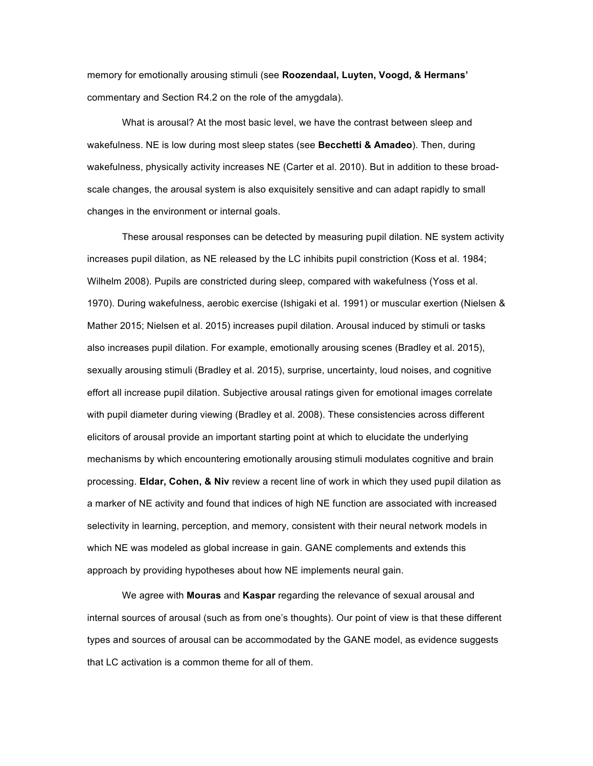memory for emotionally arousing stimuli (see **Roozendaal, Luyten, Voogd, & Hermans'**  commentary and Section R4.2 on the role of the amygdala).

What is arousal? At the most basic level, we have the contrast between sleep and wakefulness. NE is low during most sleep states (see **Becchetti & Amadeo**). Then, during wakefulness, physically activity increases NE (Carter et al. 2010). But in addition to these broadscale changes, the arousal system is also exquisitely sensitive and can adapt rapidly to small changes in the environment or internal goals.

These arousal responses can be detected by measuring pupil dilation. NE system activity increases pupil dilation, as NE released by the LC inhibits pupil constriction (Koss et al. 1984; Wilhelm 2008). Pupils are constricted during sleep, compared with wakefulness (Yoss et al. 1970). During wakefulness, aerobic exercise (Ishigaki et al. 1991) or muscular exertion (Nielsen & Mather 2015; Nielsen et al. 2015) increases pupil dilation. Arousal induced by stimuli or tasks also increases pupil dilation. For example, emotionally arousing scenes (Bradley et al. 2015), sexually arousing stimuli (Bradley et al. 2015), surprise, uncertainty, loud noises, and cognitive effort all increase pupil dilation. Subjective arousal ratings given for emotional images correlate with pupil diameter during viewing (Bradley et al. 2008). These consistencies across different elicitors of arousal provide an important starting point at which to elucidate the underlying mechanisms by which encountering emotionally arousing stimuli modulates cognitive and brain processing. **Eldar, Cohen, & Niv** review a recent line of work in which they used pupil dilation as a marker of NE activity and found that indices of high NE function are associated with increased selectivity in learning, perception, and memory, consistent with their neural network models in which NE was modeled as global increase in gain. GANE complements and extends this approach by providing hypotheses about how NE implements neural gain.

We agree with **Mouras** and **Kaspar** regarding the relevance of sexual arousal and internal sources of arousal (such as from one's thoughts). Our point of view is that these different types and sources of arousal can be accommodated by the GANE model, as evidence suggests that LC activation is a common theme for all of them.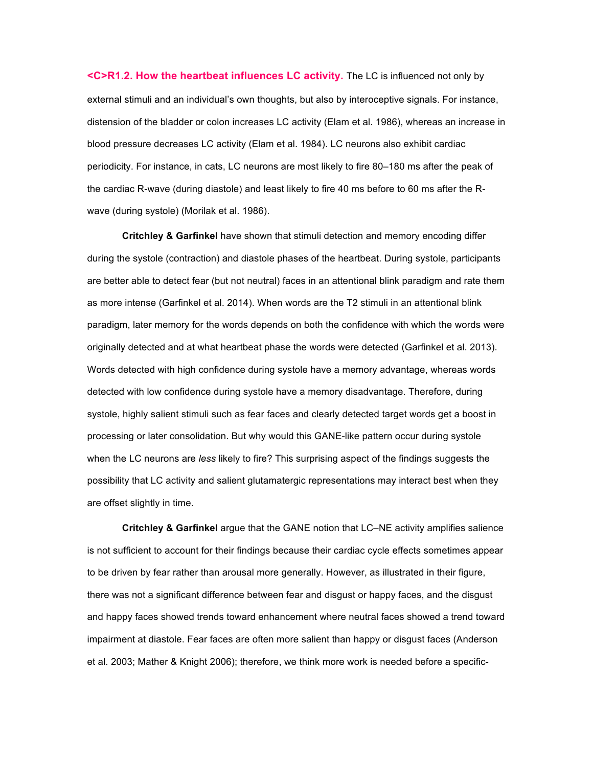**<C>R1.2. How the heartbeat influences LC activity.** The LC is influenced not only by external stimuli and an individual's own thoughts, but also by interoceptive signals. For instance, distension of the bladder or colon increases LC activity (Elam et al. 1986), whereas an increase in blood pressure decreases LC activity (Elam et al. 1984). LC neurons also exhibit cardiac periodicity. For instance, in cats, LC neurons are most likely to fire 80–180 ms after the peak of the cardiac R-wave (during diastole) and least likely to fire 40 ms before to 60 ms after the Rwave (during systole) (Morilak et al. 1986).

**Critchley & Garfinkel** have shown that stimuli detection and memory encoding differ during the systole (contraction) and diastole phases of the heartbeat. During systole, participants are better able to detect fear (but not neutral) faces in an attentional blink paradigm and rate them as more intense (Garfinkel et al. 2014). When words are the T2 stimuli in an attentional blink paradigm, later memory for the words depends on both the confidence with which the words were originally detected and at what heartbeat phase the words were detected (Garfinkel et al. 2013). Words detected with high confidence during systole have a memory advantage, whereas words detected with low confidence during systole have a memory disadvantage. Therefore, during systole, highly salient stimuli such as fear faces and clearly detected target words get a boost in processing or later consolidation. But why would this GANE-like pattern occur during systole when the LC neurons are *less* likely to fire? This surprising aspect of the findings suggests the possibility that LC activity and salient glutamatergic representations may interact best when they are offset slightly in time.

**Critchley & Garfinkel** argue that the GANE notion that LC–NE activity amplifies salience is not sufficient to account for their findings because their cardiac cycle effects sometimes appear to be driven by fear rather than arousal more generally. However, as illustrated in their figure, there was not a significant difference between fear and disgust or happy faces, and the disgust and happy faces showed trends toward enhancement where neutral faces showed a trend toward impairment at diastole. Fear faces are often more salient than happy or disgust faces (Anderson et al. 2003; Mather & Knight 2006); therefore, we think more work is needed before a specific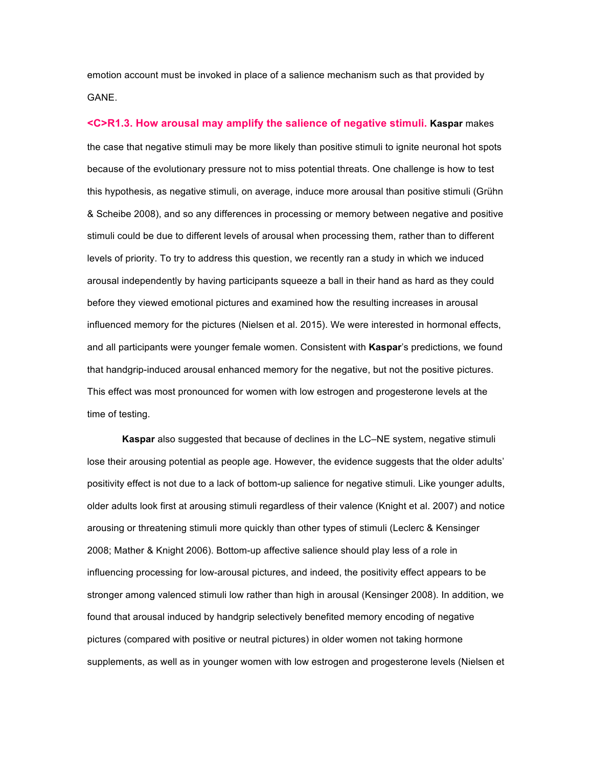emotion account must be invoked in place of a salience mechanism such as that provided by GANE.

**<C>R1.3. How arousal may amplify the salience of negative stimuli. Kaspar** makes the case that negative stimuli may be more likely than positive stimuli to ignite neuronal hot spots because of the evolutionary pressure not to miss potential threats. One challenge is how to test this hypothesis, as negative stimuli, on average, induce more arousal than positive stimuli (Grühn & Scheibe 2008), and so any differences in processing or memory between negative and positive stimuli could be due to different levels of arousal when processing them, rather than to different levels of priority. To try to address this question, we recently ran a study in which we induced arousal independently by having participants squeeze a ball in their hand as hard as they could before they viewed emotional pictures and examined how the resulting increases in arousal influenced memory for the pictures (Nielsen et al. 2015). We were interested in hormonal effects, and all participants were younger female women. Consistent with **Kaspar**'s predictions, we found that handgrip-induced arousal enhanced memory for the negative, but not the positive pictures. This effect was most pronounced for women with low estrogen and progesterone levels at the time of testing.

**Kaspar** also suggested that because of declines in the LC–NE system, negative stimuli lose their arousing potential as people age. However, the evidence suggests that the older adults' positivity effect is not due to a lack of bottom-up salience for negative stimuli. Like younger adults, older adults look first at arousing stimuli regardless of their valence (Knight et al. 2007) and notice arousing or threatening stimuli more quickly than other types of stimuli (Leclerc & Kensinger 2008; Mather & Knight 2006). Bottom-up affective salience should play less of a role in influencing processing for low-arousal pictures, and indeed, the positivity effect appears to be stronger among valenced stimuli low rather than high in arousal (Kensinger 2008). In addition, we found that arousal induced by handgrip selectively benefited memory encoding of negative pictures (compared with positive or neutral pictures) in older women not taking hormone supplements, as well as in younger women with low estrogen and progesterone levels (Nielsen et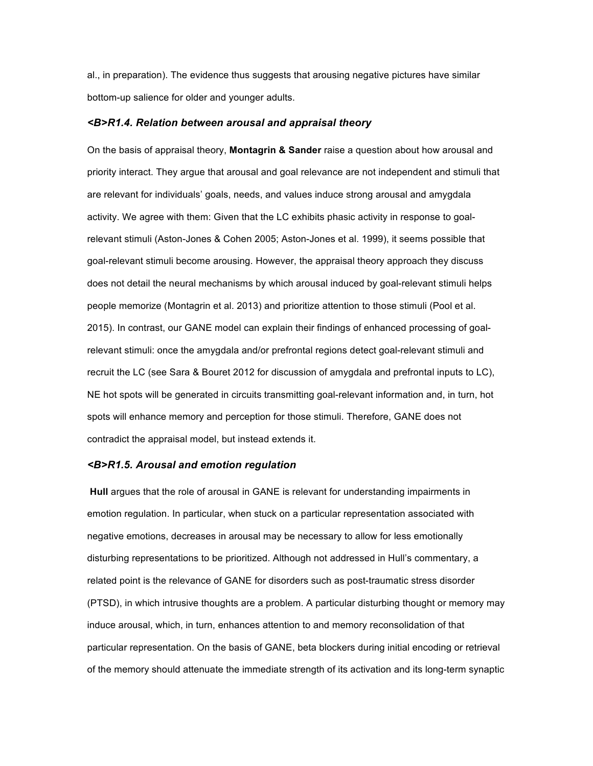al., in preparation). The evidence thus suggests that arousing negative pictures have similar bottom-up salience for older and younger adults.

#### *<B>R1.4. Relation between arousal and appraisal theory*

On the basis of appraisal theory, **Montagrin & Sander** raise a question about how arousal and priority interact. They argue that arousal and goal relevance are not independent and stimuli that are relevant for individuals' goals, needs, and values induce strong arousal and amygdala activity. We agree with them: Given that the LC exhibits phasic activity in response to goalrelevant stimuli (Aston-Jones & Cohen 2005; Aston-Jones et al. 1999), it seems possible that goal-relevant stimuli become arousing. However, the appraisal theory approach they discuss does not detail the neural mechanisms by which arousal induced by goal-relevant stimuli helps people memorize (Montagrin et al. 2013) and prioritize attention to those stimuli (Pool et al. 2015). In contrast, our GANE model can explain their findings of enhanced processing of goalrelevant stimuli: once the amygdala and/or prefrontal regions detect goal-relevant stimuli and recruit the LC (see Sara & Bouret 2012 for discussion of amygdala and prefrontal inputs to LC), NE hot spots will be generated in circuits transmitting goal-relevant information and, in turn, hot spots will enhance memory and perception for those stimuli. Therefore, GANE does not contradict the appraisal model, but instead extends it.

#### *<B>R1.5. Arousal and emotion regulation*

**Hull** argues that the role of arousal in GANE is relevant for understanding impairments in emotion regulation. In particular, when stuck on a particular representation associated with negative emotions, decreases in arousal may be necessary to allow for less emotionally disturbing representations to be prioritized. Although not addressed in Hull's commentary, a related point is the relevance of GANE for disorders such as post-traumatic stress disorder (PTSD), in which intrusive thoughts are a problem. A particular disturbing thought or memory may induce arousal, which, in turn, enhances attention to and memory reconsolidation of that particular representation. On the basis of GANE, beta blockers during initial encoding or retrieval of the memory should attenuate the immediate strength of its activation and its long-term synaptic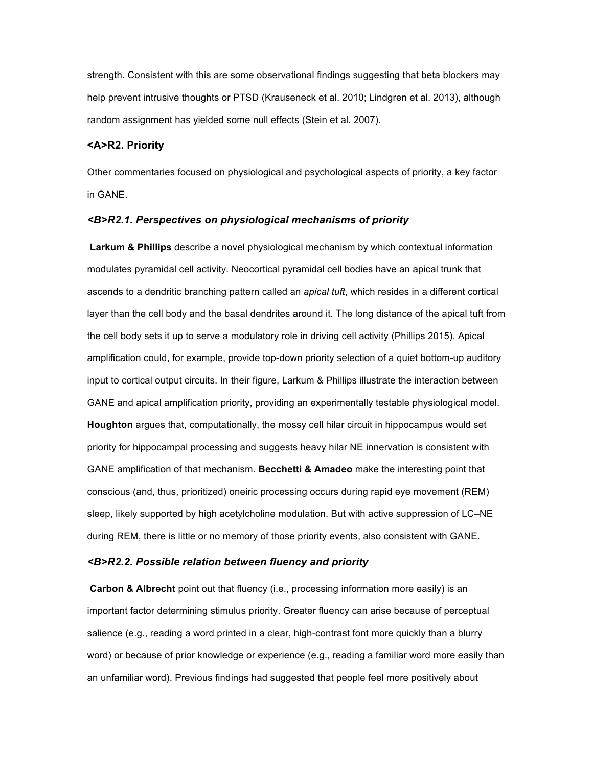strength. Consistent with this are some observational findings suggesting that beta blockers may help prevent intrusive thoughts or PTSD (Krauseneck et al. 2010; Lindgren et al. 2013), although random assignment has yielded some null effects (Stein et al. 2007).

# **<A>R2. Priority**

Other commentaries focused on physiological and psychological aspects of priority, a key factor in GANE.

#### *<B>R2.1. Perspectives on physiological mechanisms of priority*

 **Larkum & Phillips** describe a novel physiological mechanism by which contextual information modulates pyramidal cell activity. Neocortical pyramidal cell bodies have an apical trunk that ascends to a dendritic branching pattern called an *apical tuft*, which resides in a different cortical layer than the cell body and the basal dendrites around it. The long distance of the apical tuft from the cell body sets it up to serve a modulatory role in driving cell activity (Phillips 2015). Apical amplification could, for example, provide top-down priority selection of a quiet bottom-up auditory input to cortical output circuits. In their figure, Larkum & Phillips illustrate the interaction between GANE and apical amplification priority, providing an experimentally testable physiological model. **Houghton** argues that, computationally, the mossy cell hilar circuit in hippocampus would set priority for hippocampal processing and suggests heavy hilar NE innervation is consistent with GANE amplification of that mechanism. **Becchetti & Amadeo** make the interesting point that conscious (and, thus, prioritized) oneiric processing occurs during rapid eye movement (REM) sleep, likely supported by high acetylcholine modulation. But with active suppression of LC–NE during REM, there is little or no memory of those priority events, also consistent with GANE.

#### *<B>R2.2. Possible relation between fluency and priority*

 **Carbon & Albrecht** point out that fluency (i.e., processing information more easily) is an important factor determining stimulus priority. Greater fluency can arise because of perceptual salience (e.g., reading a word printed in a clear, high-contrast font more quickly than a blurry word) or because of prior knowledge or experience (e.g., reading a familiar word more easily than an unfamiliar word). Previous findings had suggested that people feel more positively about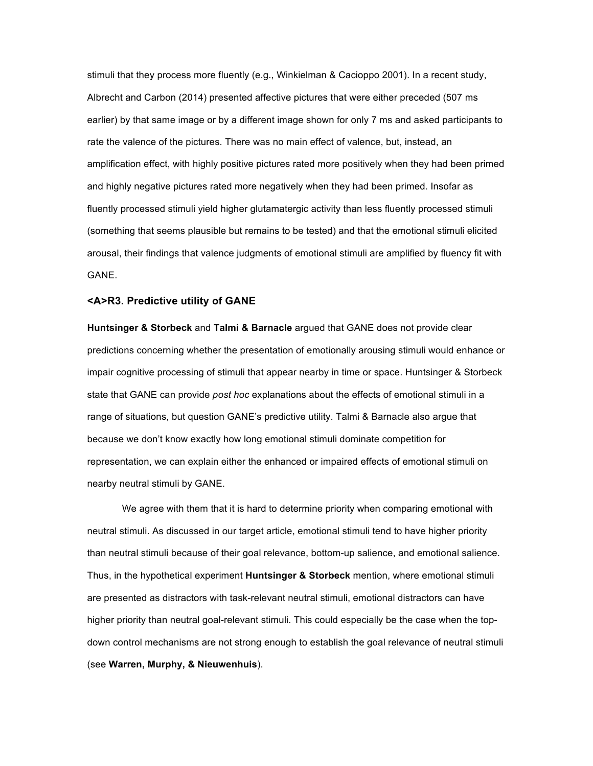stimuli that they process more fluently (e.g., Winkielman & Cacioppo 2001). In a recent study, Albrecht and Carbon (2014) presented affective pictures that were either preceded (507 ms earlier) by that same image or by a different image shown for only 7 ms and asked participants to rate the valence of the pictures. There was no main effect of valence, but, instead, an amplification effect, with highly positive pictures rated more positively when they had been primed and highly negative pictures rated more negatively when they had been primed. Insofar as fluently processed stimuli yield higher glutamatergic activity than less fluently processed stimuli (something that seems plausible but remains to be tested) and that the emotional stimuli elicited arousal, their findings that valence judgments of emotional stimuli are amplified by fluency fit with GANE.

#### **<A>R3. Predictive utility of GANE**

**Huntsinger & Storbeck** and **Talmi & Barnacle** argued that GANE does not provide clear predictions concerning whether the presentation of emotionally arousing stimuli would enhance or impair cognitive processing of stimuli that appear nearby in time or space. Huntsinger & Storbeck state that GANE can provide *post hoc* explanations about the effects of emotional stimuli in a range of situations, but question GANE's predictive utility. Talmi & Barnacle also argue that because we don't know exactly how long emotional stimuli dominate competition for representation, we can explain either the enhanced or impaired effects of emotional stimuli on nearby neutral stimuli by GANE.

We agree with them that it is hard to determine priority when comparing emotional with neutral stimuli. As discussed in our target article, emotional stimuli tend to have higher priority than neutral stimuli because of their goal relevance, bottom-up salience, and emotional salience. Thus, in the hypothetical experiment **Huntsinger & Storbeck** mention, where emotional stimuli are presented as distractors with task-relevant neutral stimuli, emotional distractors can have higher priority than neutral goal-relevant stimuli. This could especially be the case when the topdown control mechanisms are not strong enough to establish the goal relevance of neutral stimuli (see **Warren, Murphy, & Nieuwenhuis**).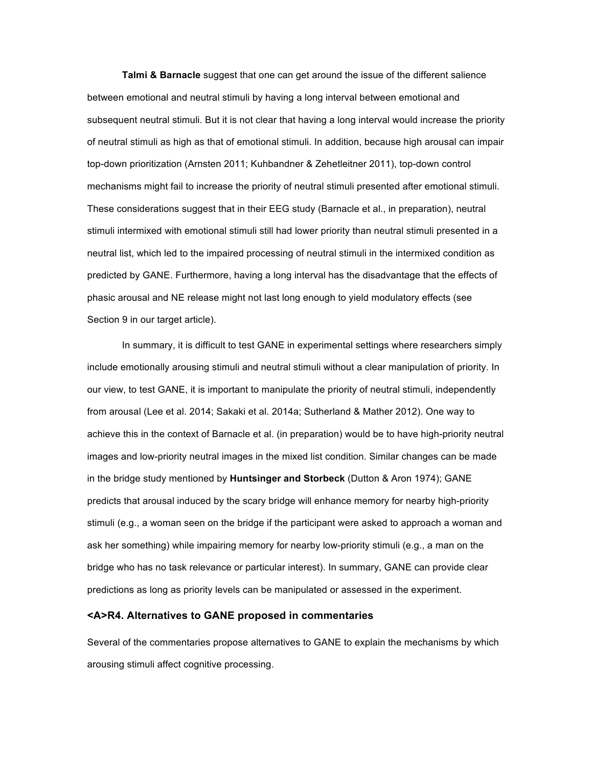**Talmi & Barnacle** suggest that one can get around the issue of the different salience between emotional and neutral stimuli by having a long interval between emotional and subsequent neutral stimuli. But it is not clear that having a long interval would increase the priority of neutral stimuli as high as that of emotional stimuli. In addition, because high arousal can impair top-down prioritization (Arnsten 2011; Kuhbandner & Zehetleitner 2011), top-down control mechanisms might fail to increase the priority of neutral stimuli presented after emotional stimuli. These considerations suggest that in their EEG study (Barnacle et al., in preparation), neutral stimuli intermixed with emotional stimuli still had lower priority than neutral stimuli presented in a neutral list, which led to the impaired processing of neutral stimuli in the intermixed condition as predicted by GANE. Furthermore, having a long interval has the disadvantage that the effects of phasic arousal and NE release might not last long enough to yield modulatory effects (see Section 9 in our target article).

In summary, it is difficult to test GANE in experimental settings where researchers simply include emotionally arousing stimuli and neutral stimuli without a clear manipulation of priority. In our view, to test GANE, it is important to manipulate the priority of neutral stimuli, independently from arousal (Lee et al. 2014; Sakaki et al. 2014a; Sutherland & Mather 2012). One way to achieve this in the context of Barnacle et al. (in preparation) would be to have high-priority neutral images and low-priority neutral images in the mixed list condition. Similar changes can be made in the bridge study mentioned by **Huntsinger and Storbeck** (Dutton & Aron 1974); GANE predicts that arousal induced by the scary bridge will enhance memory for nearby high-priority stimuli (e.g., a woman seen on the bridge if the participant were asked to approach a woman and ask her something) while impairing memory for nearby low-priority stimuli (e.g., a man on the bridge who has no task relevance or particular interest). In summary, GANE can provide clear predictions as long as priority levels can be manipulated or assessed in the experiment.

#### **<A>R4. Alternatives to GANE proposed in commentaries**

Several of the commentaries propose alternatives to GANE to explain the mechanisms by which arousing stimuli affect cognitive processing.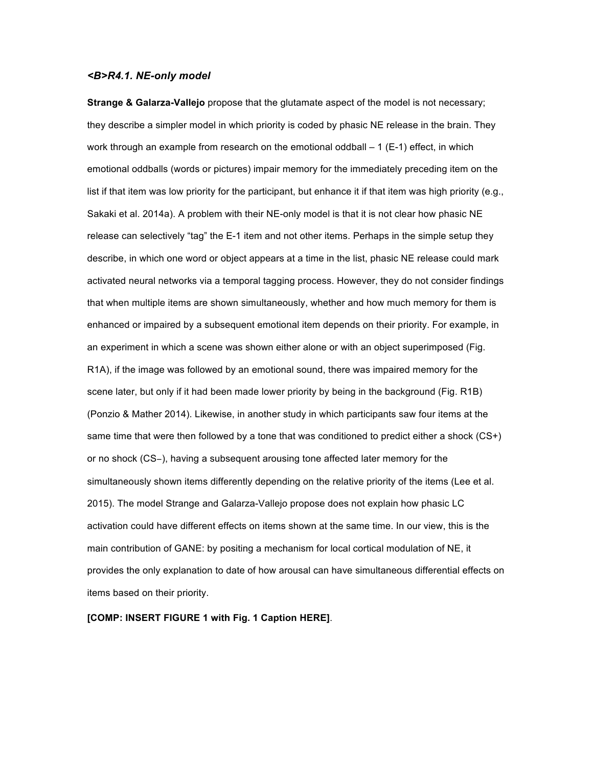#### *<B>R4.1. NE-only model*

**Strange & Galarza-Vallejo** propose that the glutamate aspect of the model is not necessary; they describe a simpler model in which priority is coded by phasic NE release in the brain. They work through an example from research on the emotional oddball  $-1$  (E-1) effect, in which emotional oddballs (words or pictures) impair memory for the immediately preceding item on the list if that item was low priority for the participant, but enhance it if that item was high priority (e.g., Sakaki et al. 2014a). A problem with their NE-only model is that it is not clear how phasic NE release can selectively "tag" the E-1 item and not other items. Perhaps in the simple setup they describe, in which one word or object appears at a time in the list, phasic NE release could mark activated neural networks via a temporal tagging process. However, they do not consider findings that when multiple items are shown simultaneously, whether and how much memory for them is enhanced or impaired by a subsequent emotional item depends on their priority. For example, in an experiment in which a scene was shown either alone or with an object superimposed (Fig. R1A), if the image was followed by an emotional sound, there was impaired memory for the scene later, but only if it had been made lower priority by being in the background (Fig. R1B) (Ponzio & Mather 2014). Likewise, in another study in which participants saw four items at the same time that were then followed by a tone that was conditioned to predict either a shock (CS+) or no shock (CS−), having a subsequent arousing tone affected later memory for the simultaneously shown items differently depending on the relative priority of the items (Lee et al. 2015). The model Strange and Galarza-Vallejo propose does not explain how phasic LC activation could have different effects on items shown at the same time. In our view, this is the main contribution of GANE: by positing a mechanism for local cortical modulation of NE, it provides the only explanation to date of how arousal can have simultaneous differential effects on items based on their priority.

**[COMP: INSERT FIGURE 1 with Fig. 1 Caption HERE]**.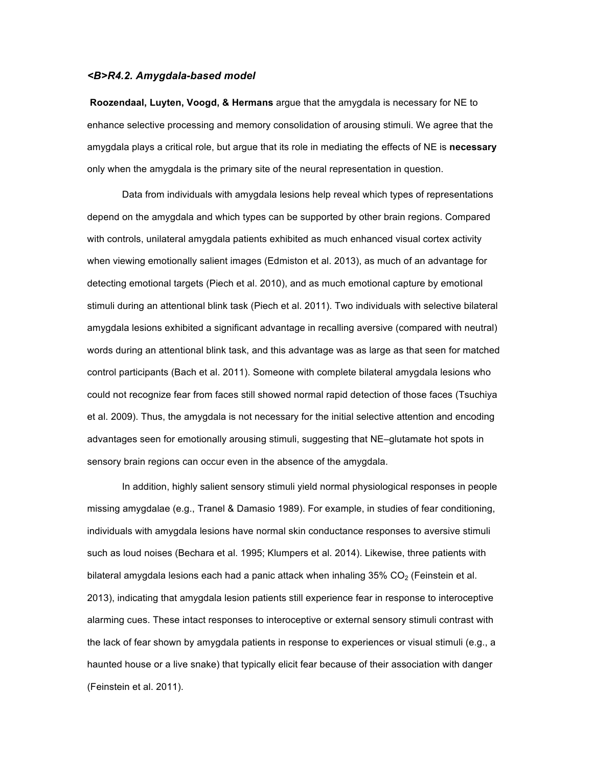# *<B>R4.2. Amygdala-based model*

**Roozendaal, Luyten, Voogd, & Hermans** argue that the amygdala is necessary for NE to enhance selective processing and memory consolidation of arousing stimuli. We agree that the amygdala plays a critical role, but argue that its role in mediating the effects of NE is **necessary** only when the amygdala is the primary site of the neural representation in question.

Data from individuals with amygdala lesions help reveal which types of representations depend on the amygdala and which types can be supported by other brain regions. Compared with controls, unilateral amygdala patients exhibited as much enhanced visual cortex activity when viewing emotionally salient images (Edmiston et al. 2013), as much of an advantage for detecting emotional targets (Piech et al. 2010), and as much emotional capture by emotional stimuli during an attentional blink task (Piech et al. 2011). Two individuals with selective bilateral amygdala lesions exhibited a significant advantage in recalling aversive (compared with neutral) words during an attentional blink task, and this advantage was as large as that seen for matched control participants (Bach et al. 2011). Someone with complete bilateral amygdala lesions who could not recognize fear from faces still showed normal rapid detection of those faces (Tsuchiya et al. 2009). Thus, the amygdala is not necessary for the initial selective attention and encoding advantages seen for emotionally arousing stimuli, suggesting that NE–glutamate hot spots in sensory brain regions can occur even in the absence of the amygdala.

In addition, highly salient sensory stimuli yield normal physiological responses in people missing amygdalae (e.g., Tranel & Damasio 1989). For example, in studies of fear conditioning, individuals with amygdala lesions have normal skin conductance responses to aversive stimuli such as loud noises (Bechara et al. 1995; Klumpers et al. 2014). Likewise, three patients with bilateral amygdala lesions each had a panic attack when inhaling  $35\%$  CO<sub>2</sub> (Feinstein et al. 2013), indicating that amygdala lesion patients still experience fear in response to interoceptive alarming cues. These intact responses to interoceptive or external sensory stimuli contrast with the lack of fear shown by amygdala patients in response to experiences or visual stimuli (e.g., a haunted house or a live snake) that typically elicit fear because of their association with danger (Feinstein et al. 2011).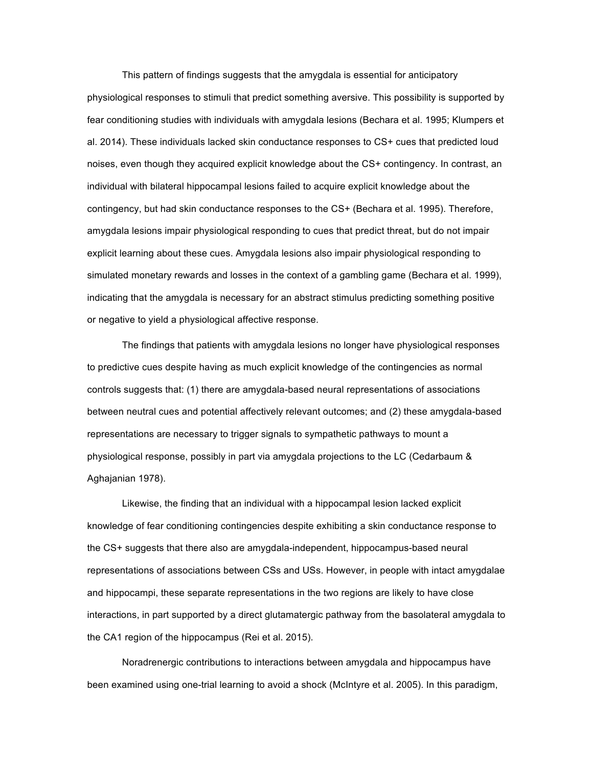This pattern of findings suggests that the amygdala is essential for anticipatory physiological responses to stimuli that predict something aversive. This possibility is supported by fear conditioning studies with individuals with amygdala lesions (Bechara et al. 1995; Klumpers et al. 2014). These individuals lacked skin conductance responses to CS+ cues that predicted loud noises, even though they acquired explicit knowledge about the CS+ contingency. In contrast, an individual with bilateral hippocampal lesions failed to acquire explicit knowledge about the contingency, but had skin conductance responses to the CS+ (Bechara et al. 1995). Therefore, amygdala lesions impair physiological responding to cues that predict threat, but do not impair explicit learning about these cues. Amygdala lesions also impair physiological responding to simulated monetary rewards and losses in the context of a gambling game (Bechara et al. 1999), indicating that the amygdala is necessary for an abstract stimulus predicting something positive or negative to yield a physiological affective response.

The findings that patients with amygdala lesions no longer have physiological responses to predictive cues despite having as much explicit knowledge of the contingencies as normal controls suggests that: (1) there are amygdala-based neural representations of associations between neutral cues and potential affectively relevant outcomes; and (2) these amygdala-based representations are necessary to trigger signals to sympathetic pathways to mount a physiological response, possibly in part via amygdala projections to the LC (Cedarbaum & Aghajanian 1978).

Likewise, the finding that an individual with a hippocampal lesion lacked explicit knowledge of fear conditioning contingencies despite exhibiting a skin conductance response to the CS+ suggests that there also are amygdala-independent, hippocampus-based neural representations of associations between CSs and USs. However, in people with intact amygdalae and hippocampi, these separate representations in the two regions are likely to have close interactions, in part supported by a direct glutamatergic pathway from the basolateral amygdala to the CA1 region of the hippocampus (Rei et al. 2015).

Noradrenergic contributions to interactions between amygdala and hippocampus have been examined using one-trial learning to avoid a shock (McIntyre et al. 2005). In this paradigm,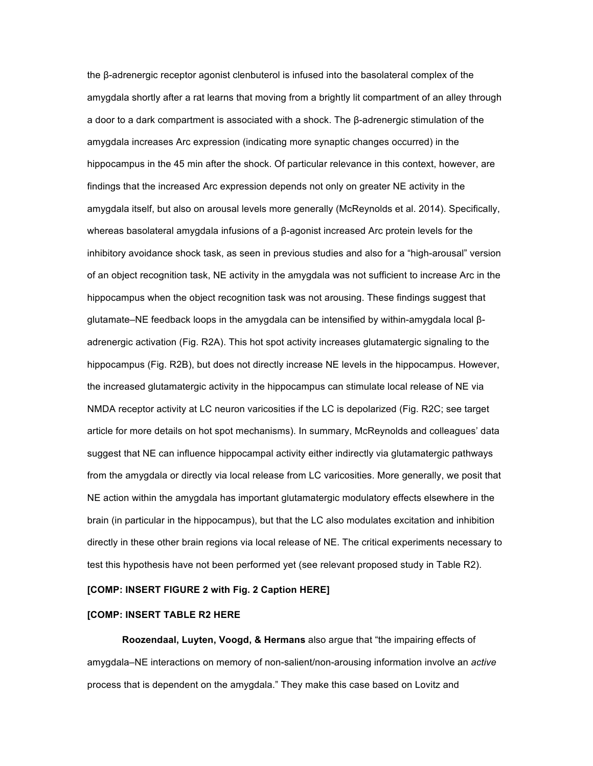the β-adrenergic receptor agonist clenbuterol is infused into the basolateral complex of the amygdala shortly after a rat learns that moving from a brightly lit compartment of an alley through a door to a dark compartment is associated with a shock. The β-adrenergic stimulation of the amygdala increases Arc expression (indicating more synaptic changes occurred) in the hippocampus in the 45 min after the shock. Of particular relevance in this context, however, are findings that the increased Arc expression depends not only on greater NE activity in the amygdala itself, but also on arousal levels more generally (McReynolds et al. 2014). Specifically, whereas basolateral amygdala infusions of a β-agonist increased Arc protein levels for the inhibitory avoidance shock task, as seen in previous studies and also for a "high-arousal" version of an object recognition task, NE activity in the amygdala was not sufficient to increase Arc in the hippocampus when the object recognition task was not arousing. These findings suggest that glutamate–NE feedback loops in the amygdala can be intensified by within-amygdala local βadrenergic activation (Fig. R2A). This hot spot activity increases glutamatergic signaling to the hippocampus (Fig. R2B), but does not directly increase NE levels in the hippocampus. However, the increased glutamatergic activity in the hippocampus can stimulate local release of NE via NMDA receptor activity at LC neuron varicosities if the LC is depolarized (Fig. R2C; see target article for more details on hot spot mechanisms). In summary, McReynolds and colleagues' data suggest that NE can influence hippocampal activity either indirectly via glutamatergic pathways from the amygdala or directly via local release from LC varicosities. More generally, we posit that NE action within the amygdala has important glutamatergic modulatory effects elsewhere in the brain (in particular in the hippocampus), but that the LC also modulates excitation and inhibition directly in these other brain regions via local release of NE. The critical experiments necessary to test this hypothesis have not been performed yet (see relevant proposed study in Table R2).

#### **[COMP: INSERT FIGURE 2 with Fig. 2 Caption HERE]**

#### **[COMP: INSERT TABLE R2 HERE**

**Roozendaal, Luyten, Voogd, & Hermans** also argue that "the impairing effects of amygdala–NE interactions on memory of non-salient/non-arousing information involve an *active* process that is dependent on the amygdala." They make this case based on Lovitz and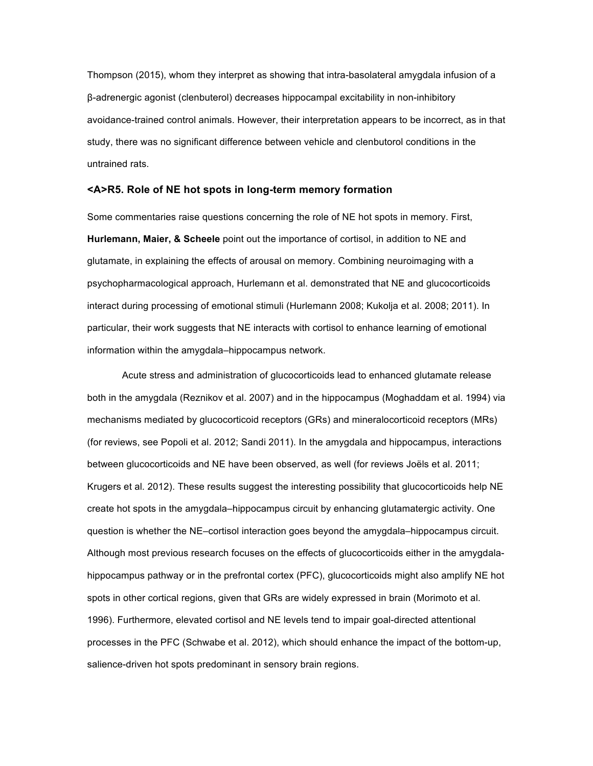Thompson (2015), whom they interpret as showing that intra-basolateral amygdala infusion of a β-adrenergic agonist (clenbuterol) decreases hippocampal excitability in non-inhibitory avoidance-trained control animals. However, their interpretation appears to be incorrect, as in that study, there was no significant difference between vehicle and clenbutorol conditions in the untrained rats.

#### **<A>R5. Role of NE hot spots in long-term memory formation**

Some commentaries raise questions concerning the role of NE hot spots in memory. First, **Hurlemann, Maier, & Scheele** point out the importance of cortisol, in addition to NE and glutamate, in explaining the effects of arousal on memory. Combining neuroimaging with a psychopharmacological approach, Hurlemann et al. demonstrated that NE and glucocorticoids interact during processing of emotional stimuli (Hurlemann 2008; Kukolja et al. 2008; 2011). In particular, their work suggests that NE interacts with cortisol to enhance learning of emotional information within the amygdala–hippocampus network.

Acute stress and administration of glucocorticoids lead to enhanced glutamate release both in the amygdala (Reznikov et al. 2007) and in the hippocampus (Moghaddam et al. 1994) via mechanisms mediated by glucocorticoid receptors (GRs) and mineralocorticoid receptors (MRs) (for reviews, see Popoli et al. 2012; Sandi 2011). In the amygdala and hippocampus, interactions between glucocorticoids and NE have been observed, as well (for reviews Joëls et al. 2011; Krugers et al. 2012). These results suggest the interesting possibility that glucocorticoids help NE create hot spots in the amygdala–hippocampus circuit by enhancing glutamatergic activity. One question is whether the NE–cortisol interaction goes beyond the amygdala–hippocampus circuit. Although most previous research focuses on the effects of glucocorticoids either in the amygdalahippocampus pathway or in the prefrontal cortex (PFC), glucocorticoids might also amplify NE hot spots in other cortical regions, given that GRs are widely expressed in brain (Morimoto et al. 1996). Furthermore, elevated cortisol and NE levels tend to impair goal-directed attentional processes in the PFC (Schwabe et al. 2012), which should enhance the impact of the bottom-up, salience-driven hot spots predominant in sensory brain regions.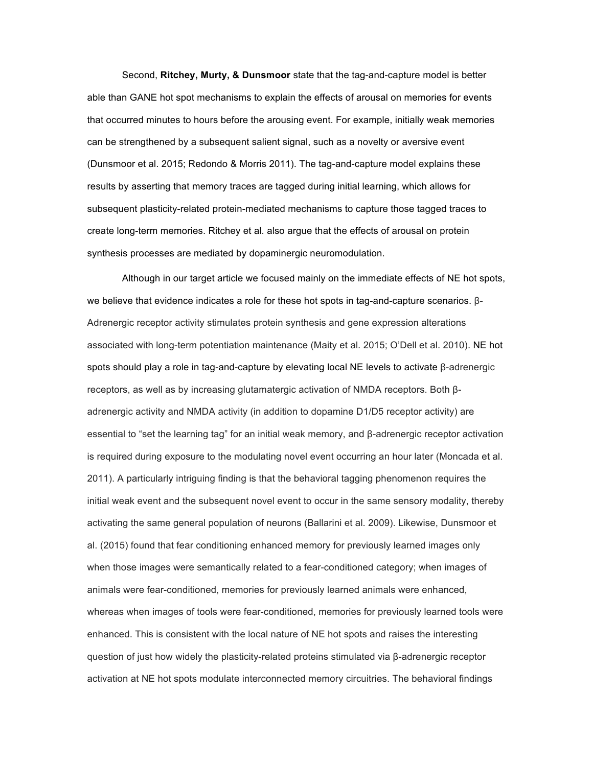Second, **Ritchey, Murty, & Dunsmoor** state that the tag-and-capture model is better able than GANE hot spot mechanisms to explain the effects of arousal on memories for events that occurred minutes to hours before the arousing event. For example, initially weak memories can be strengthened by a subsequent salient signal, such as a novelty or aversive event (Dunsmoor et al. 2015; Redondo & Morris 2011). The tag-and-capture model explains these results by asserting that memory traces are tagged during initial learning, which allows for subsequent plasticity-related protein-mediated mechanisms to capture those tagged traces to create long-term memories. Ritchey et al. also argue that the effects of arousal on protein synthesis processes are mediated by dopaminergic neuromodulation.

Although in our target article we focused mainly on the immediate effects of NE hot spots, we believe that evidence indicates a role for these hot spots in tag-and-capture scenarios. β-Adrenergic receptor activity stimulates protein synthesis and gene expression alterations associated with long-term potentiation maintenance (Maity et al. 2015; O'Dell et al. 2010). NE hot spots should play a role in tag-and-capture by elevating local NE levels to activate β-adrenergic receptors, as well as by increasing glutamatergic activation of NMDA receptors. Both βadrenergic activity and NMDA activity (in addition to dopamine D1/D5 receptor activity) are essential to "set the learning tag" for an initial weak memory, and β-adrenergic receptor activation is required during exposure to the modulating novel event occurring an hour later (Moncada et al. 2011). A particularly intriguing finding is that the behavioral tagging phenomenon requires the initial weak event and the subsequent novel event to occur in the same sensory modality, thereby activating the same general population of neurons (Ballarini et al. 2009). Likewise, Dunsmoor et al. (2015) found that fear conditioning enhanced memory for previously learned images only when those images were semantically related to a fear-conditioned category; when images of animals were fear-conditioned, memories for previously learned animals were enhanced, whereas when images of tools were fear-conditioned, memories for previously learned tools were enhanced. This is consistent with the local nature of NE hot spots and raises the interesting question of just how widely the plasticity-related proteins stimulated via β-adrenergic receptor activation at NE hot spots modulate interconnected memory circuitries. The behavioral findings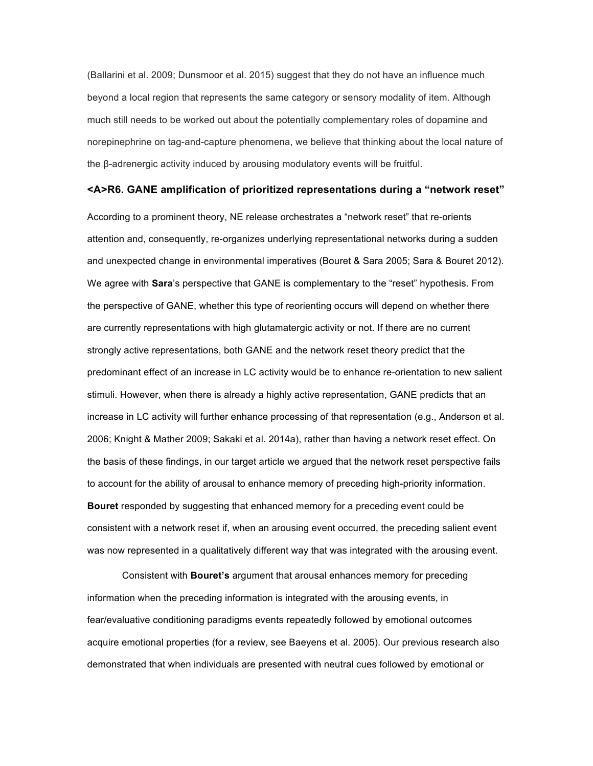(Ballarini et al. 2009; Dunsmoor et al. 2015) suggest that they do not have an influence much beyond a local region that represents the same category or sensory modality of item. Although much still needs to be worked out about the potentially complementary roles of dopamine and norepinephrine on tag-and-capture phenomena, we believe that thinking about the local nature of the β-adrenergic activity induced by arousing modulatory events will be fruitful.

#### **<A>R6. GANE amplification of prioritized representations during a "network reset"**

According to a prominent theory, NE release orchestrates a "network reset" that re-orients attention and, consequently, re-organizes underlying representational networks during a sudden and unexpected change in environmental imperatives (Bouret & Sara 2005; Sara & Bouret 2012). We agree with **Sara**'s perspective that GANE is complementary to the "reset" hypothesis. From the perspective of GANE, whether this type of reorienting occurs will depend on whether there are currently representations with high glutamatergic activity or not. If there are no current strongly active representations, both GANE and the network reset theory predict that the predominant effect of an increase in LC activity would be to enhance re-orientation to new salient stimuli. However, when there is already a highly active representation, GANE predicts that an increase in LC activity will further enhance processing of that representation (e.g., Anderson et al. 2006; Knight & Mather 2009; Sakaki et al. 2014a), rather than having a network reset effect. On the basis of these findings, in our target article we argued that the network reset perspective fails to account for the ability of arousal to enhance memory of preceding high-priority information. **Bouret** responded by suggesting that enhanced memory for a preceding event could be consistent with a network reset if, when an arousing event occurred, the preceding salient event was now represented in a qualitatively different way that was integrated with the arousing event.

Consistent with **Bouret's** argument that arousal enhances memory for preceding information when the preceding information is integrated with the arousing events, in fear/evaluative conditioning paradigms events repeatedly followed by emotional outcomes acquire emotional properties (for a review, see Baeyens et al. 2005). Our previous research also demonstrated that when individuals are presented with neutral cues followed by emotional or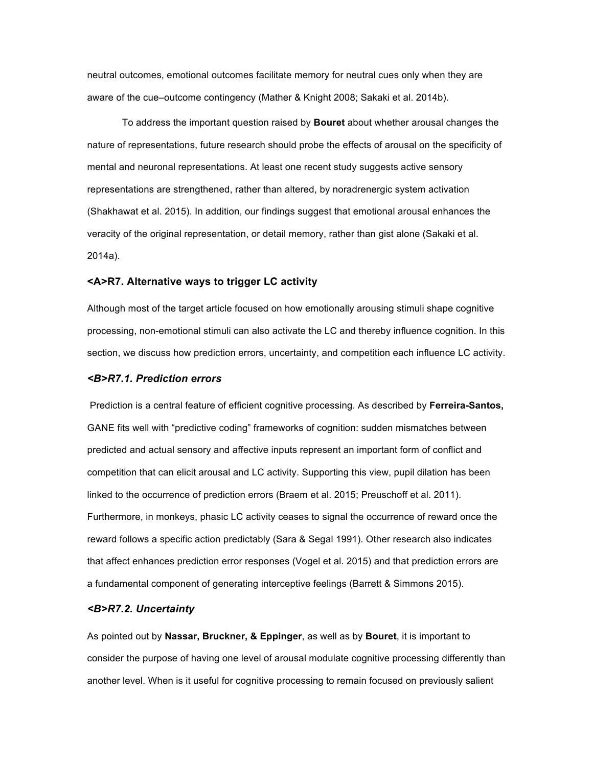neutral outcomes, emotional outcomes facilitate memory for neutral cues only when they are aware of the cue–outcome contingency (Mather & Knight 2008; Sakaki et al. 2014b).

To address the important question raised by **Bouret** about whether arousal changes the nature of representations, future research should probe the effects of arousal on the specificity of mental and neuronal representations. At least one recent study suggests active sensory representations are strengthened, rather than altered, by noradrenergic system activation (Shakhawat et al. 2015). In addition, our findings suggest that emotional arousal enhances the veracity of the original representation, or detail memory, rather than gist alone (Sakaki et al. 2014a).

# **<A>R7. Alternative ways to trigger LC activity**

Although most of the target article focused on how emotionally arousing stimuli shape cognitive processing, non-emotional stimuli can also activate the LC and thereby influence cognition. In this section, we discuss how prediction errors, uncertainty, and competition each influence LC activity.

# *<B>R7.1. Prediction errors*

 Prediction is a central feature of efficient cognitive processing. As described by **Ferreira-Santos,**  GANE fits well with "predictive coding" frameworks of cognition: sudden mismatches between predicted and actual sensory and affective inputs represent an important form of conflict and competition that can elicit arousal and LC activity. Supporting this view, pupil dilation has been linked to the occurrence of prediction errors (Braem et al. 2015; Preuschoff et al. 2011). Furthermore, in monkeys, phasic LC activity ceases to signal the occurrence of reward once the reward follows a specific action predictably (Sara & Segal 1991). Other research also indicates that affect enhances prediction error responses (Vogel et al. 2015) and that prediction errors are a fundamental component of generating interceptive feelings (Barrett & Simmons 2015).

#### *<B>R7.2. Uncertainty*

As pointed out by **Nassar, Bruckner, & Eppinger**, as well as by **Bouret**, it is important to consider the purpose of having one level of arousal modulate cognitive processing differently than another level. When is it useful for cognitive processing to remain focused on previously salient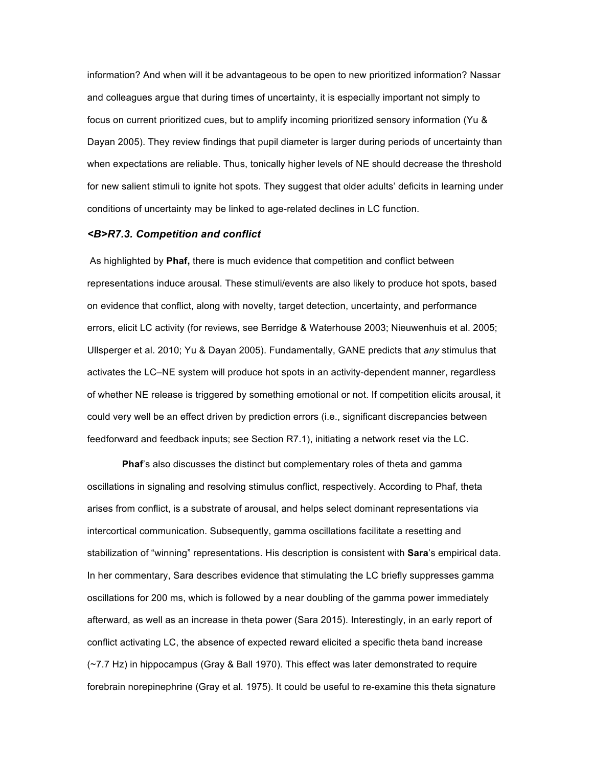information? And when will it be advantageous to be open to new prioritized information? Nassar and colleagues argue that during times of uncertainty, it is especially important not simply to focus on current prioritized cues, but to amplify incoming prioritized sensory information (Yu & Dayan 2005). They review findings that pupil diameter is larger during periods of uncertainty than when expectations are reliable. Thus, tonically higher levels of NE should decrease the threshold for new salient stimuli to ignite hot spots. They suggest that older adults' deficits in learning under conditions of uncertainty may be linked to age-related declines in LC function.

#### *<B>R7.3. Competition and conflict*

 As highlighted by **Phaf,** there is much evidence that competition and conflict between representations induce arousal. These stimuli/events are also likely to produce hot spots, based on evidence that conflict, along with novelty, target detection, uncertainty, and performance errors, elicit LC activity (for reviews, see Berridge & Waterhouse 2003; Nieuwenhuis et al. 2005; Ullsperger et al. 2010; Yu & Dayan 2005). Fundamentally, GANE predicts that *any* stimulus that activates the LC–NE system will produce hot spots in an activity-dependent manner, regardless of whether NE release is triggered by something emotional or not. If competition elicits arousal, it could very well be an effect driven by prediction errors (i.e., significant discrepancies between feedforward and feedback inputs; see Section R7.1), initiating a network reset via the LC.

**Phaf**'s also discusses the distinct but complementary roles of theta and gamma oscillations in signaling and resolving stimulus conflict, respectively. According to Phaf, theta arises from conflict, is a substrate of arousal, and helps select dominant representations via intercortical communication. Subsequently, gamma oscillations facilitate a resetting and stabilization of "winning" representations. His description is consistent with **Sara**'s empirical data. In her commentary, Sara describes evidence that stimulating the LC briefly suppresses gamma oscillations for 200 ms, which is followed by a near doubling of the gamma power immediately afterward, as well as an increase in theta power (Sara 2015). Interestingly, in an early report of conflict activating LC, the absence of expected reward elicited a specific theta band increase (~7.7 Hz) in hippocampus (Gray & Ball 1970). This effect was later demonstrated to require forebrain norepinephrine (Gray et al. 1975). It could be useful to re-examine this theta signature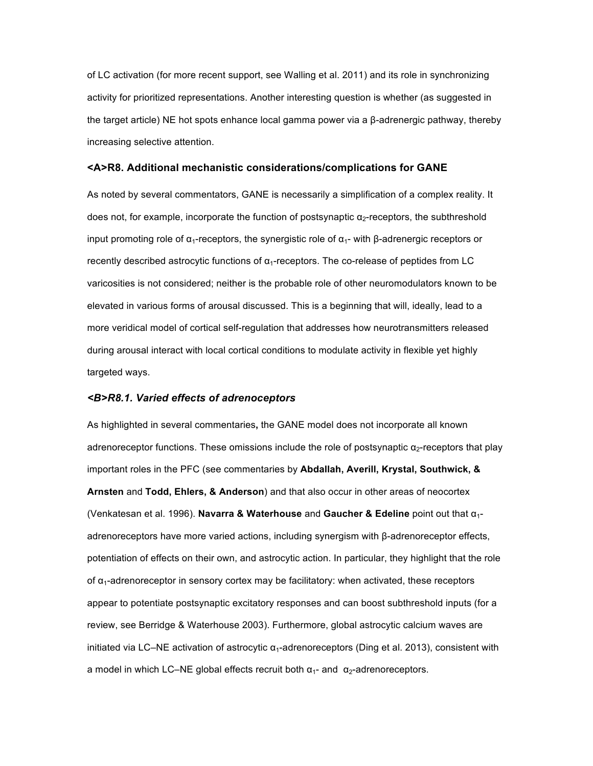of LC activation (for more recent support, see Walling et al. 2011) and its role in synchronizing activity for prioritized representations. Another interesting question is whether (as suggested in the target article) NE hot spots enhance local gamma power via a β-adrenergic pathway, thereby increasing selective attention.

#### **<A>R8. Additional mechanistic considerations/complications for GANE**

As noted by several commentators, GANE is necessarily a simplification of a complex reality. It does not, for example, incorporate the function of postsynaptic  $\alpha_2$ -receptors, the subthreshold input promoting role of  $\alpha_1$ -receptors, the synergistic role of  $\alpha_1$ - with β-adrenergic receptors or recently described astrocytic functions of  $\alpha_1$ -receptors. The co-release of peptides from LC varicosities is not considered; neither is the probable role of other neuromodulators known to be elevated in various forms of arousal discussed. This is a beginning that will, ideally, lead to a more veridical model of cortical self-regulation that addresses how neurotransmitters released during arousal interact with local cortical conditions to modulate activity in flexible yet highly targeted ways.

#### *<B>R8.1. Varied effects of adrenoceptors*

As highlighted in several commentaries**,** the GANE model does not incorporate all known adrenoreceptor functions. These omissions include the role of postsynaptic  $\alpha_2$ -receptors that play important roles in the PFC (see commentaries by **Abdallah, Averill, Krystal, Southwick, & Arnsten** and **Todd, Ehlers, & Anderson**) and that also occur in other areas of neocortex (Venkatesan et al. 1996). **Navarra & Waterhouse** and **Gaucher & Edeline** point out that α1 adrenoreceptors have more varied actions, including synergism with β-adrenoreceptor effects, potentiation of effects on their own, and astrocytic action. In particular, they highlight that the role of  $\alpha_1$ -adrenoreceptor in sensory cortex may be facilitatory: when activated, these receptors appear to potentiate postsynaptic excitatory responses and can boost subthreshold inputs (for a review, see Berridge & Waterhouse 2003). Furthermore, global astrocytic calcium waves are initiated via LC–NE activation of astrocytic  $\alpha_1$ -adrenoreceptors (Ding et al. 2013), consistent with a model in which LC–NE global effects recruit both  $\alpha_1$ - and  $\alpha_2$ -adrenoreceptors.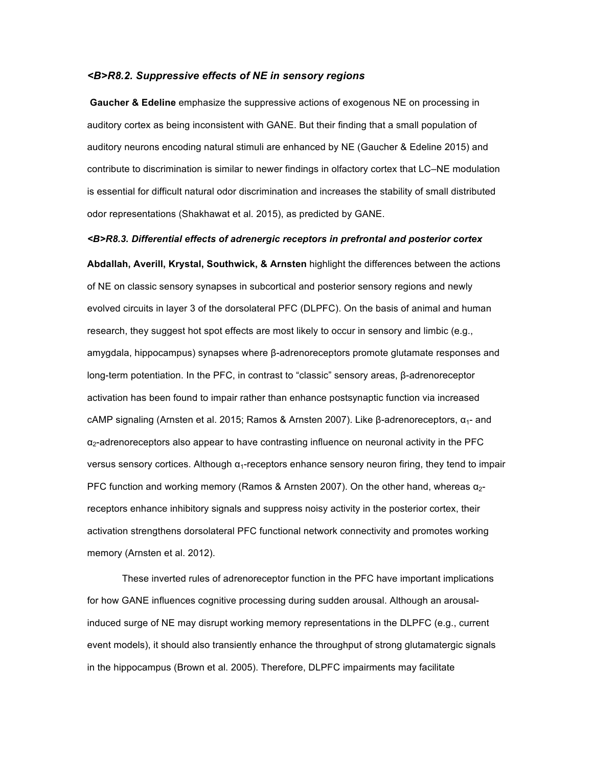# *<B>R8.2. Suppressive effects of NE in sensory regions*

 **Gaucher & Edeline** emphasize the suppressive actions of exogenous NE on processing in auditory cortex as being inconsistent with GANE. But their finding that a small population of auditory neurons encoding natural stimuli are enhanced by NE (Gaucher & Edeline 2015) and contribute to discrimination is similar to newer findings in olfactory cortex that LC–NE modulation is essential for difficult natural odor discrimination and increases the stability of small distributed odor representations (Shakhawat et al. 2015), as predicted by GANE.

*<B>R8.3. Differential effects of adrenergic receptors in prefrontal and posterior cortex*

**Abdallah, Averill, Krystal, Southwick, & Arnsten** highlight the differences between the actions of NE on classic sensory synapses in subcortical and posterior sensory regions and newly evolved circuits in layer 3 of the dorsolateral PFC (DLPFC). On the basis of animal and human research, they suggest hot spot effects are most likely to occur in sensory and limbic (e.g., amygdala, hippocampus) synapses where β-adrenoreceptors promote glutamate responses and long-term potentiation. In the PFC, in contrast to "classic" sensory areas, β-adrenoreceptor activation has been found to impair rather than enhance postsynaptic function via increased cAMP signaling (Arnsten et al. 2015; Ramos & Arnsten 2007). Like β-adrenoreceptors,  $\alpha_1$ - and  $\alpha$ -adrenoreceptors also appear to have contrasting influence on neuronal activity in the PFC versus sensory cortices. Although α1-receptors enhance sensory neuron firing, they tend to impair PFC function and working memory (Ramos & Arnsten 2007). On the other hand, whereas  $\alpha_{2}$ receptors enhance inhibitory signals and suppress noisy activity in the posterior cortex, their activation strengthens dorsolateral PFC functional network connectivity and promotes working memory (Arnsten et al. 2012).

These inverted rules of adrenoreceptor function in the PFC have important implications for how GANE influences cognitive processing during sudden arousal. Although an arousalinduced surge of NE may disrupt working memory representations in the DLPFC (e.g., current event models), it should also transiently enhance the throughput of strong glutamatergic signals in the hippocampus (Brown et al. 2005). Therefore, DLPFC impairments may facilitate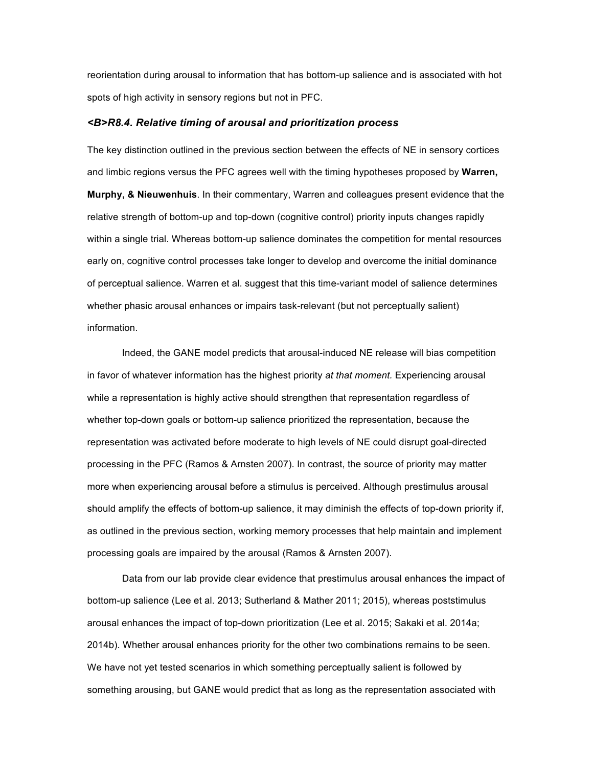reorientation during arousal to information that has bottom-up salience and is associated with hot spots of high activity in sensory regions but not in PFC.

# *<B>R8.4. Relative timing of arousal and prioritization process*

The key distinction outlined in the previous section between the effects of NE in sensory cortices and limbic regions versus the PFC agrees well with the timing hypotheses proposed by **Warren, Murphy, & Nieuwenhuis**. In their commentary, Warren and colleagues present evidence that the relative strength of bottom-up and top-down (cognitive control) priority inputs changes rapidly within a single trial. Whereas bottom-up salience dominates the competition for mental resources early on, cognitive control processes take longer to develop and overcome the initial dominance of perceptual salience. Warren et al. suggest that this time-variant model of salience determines whether phasic arousal enhances or impairs task-relevant (but not perceptually salient) information.

Indeed, the GANE model predicts that arousal-induced NE release will bias competition in favor of whatever information has the highest priority *at that moment.* Experiencing arousal while a representation is highly active should strengthen that representation regardless of whether top-down goals or bottom-up salience prioritized the representation, because the representation was activated before moderate to high levels of NE could disrupt goal-directed processing in the PFC (Ramos & Arnsten 2007). In contrast, the source of priority may matter more when experiencing arousal before a stimulus is perceived. Although prestimulus arousal should amplify the effects of bottom-up salience, it may diminish the effects of top-down priority if, as outlined in the previous section, working memory processes that help maintain and implement processing goals are impaired by the arousal (Ramos & Arnsten 2007).

Data from our lab provide clear evidence that prestimulus arousal enhances the impact of bottom-up salience (Lee et al. 2013; Sutherland & Mather 2011; 2015), whereas poststimulus arousal enhances the impact of top-down prioritization (Lee et al. 2015; Sakaki et al. 2014a; 2014b). Whether arousal enhances priority for the other two combinations remains to be seen. We have not yet tested scenarios in which something perceptually salient is followed by something arousing, but GANE would predict that as long as the representation associated with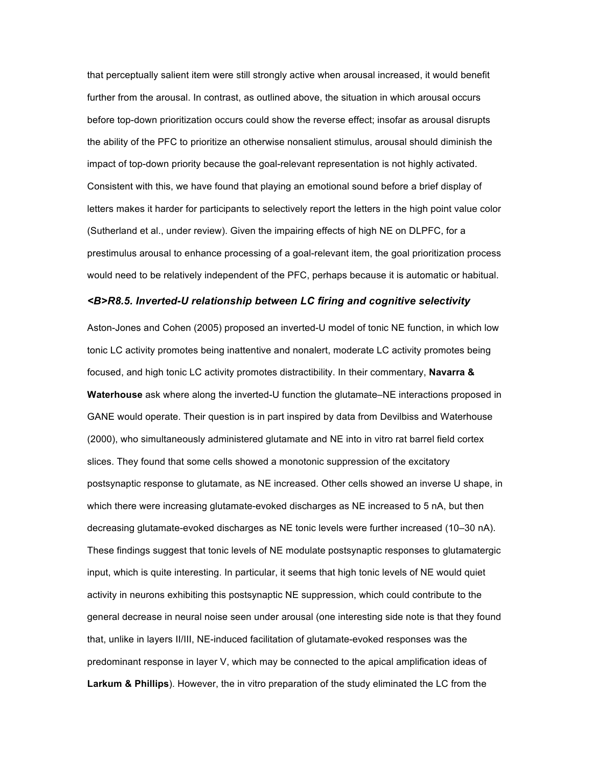that perceptually salient item were still strongly active when arousal increased, it would benefit further from the arousal. In contrast, as outlined above, the situation in which arousal occurs before top-down prioritization occurs could show the reverse effect; insofar as arousal disrupts the ability of the PFC to prioritize an otherwise nonsalient stimulus, arousal should diminish the impact of top-down priority because the goal-relevant representation is not highly activated. Consistent with this, we have found that playing an emotional sound before a brief display of letters makes it harder for participants to selectively report the letters in the high point value color (Sutherland et al., under review). Given the impairing effects of high NE on DLPFC, for a prestimulus arousal to enhance processing of a goal-relevant item, the goal prioritization process would need to be relatively independent of the PFC, perhaps because it is automatic or habitual.

#### *<B>R8.5. Inverted-U relationship between LC firing and cognitive selectivity*

Aston-Jones and Cohen (2005) proposed an inverted-U model of tonic NE function, in which low tonic LC activity promotes being inattentive and nonalert, moderate LC activity promotes being focused, and high tonic LC activity promotes distractibility. In their commentary, **Navarra & Waterhouse** ask where along the inverted-U function the glutamate–NE interactions proposed in GANE would operate. Their question is in part inspired by data from Devilbiss and Waterhouse (2000), who simultaneously administered glutamate and NE into in vitro rat barrel field cortex slices. They found that some cells showed a monotonic suppression of the excitatory postsynaptic response to glutamate, as NE increased. Other cells showed an inverse U shape, in which there were increasing glutamate-evoked discharges as NE increased to 5 nA, but then decreasing glutamate-evoked discharges as NE tonic levels were further increased (10–30 nA). These findings suggest that tonic levels of NE modulate postsynaptic responses to glutamatergic input, which is quite interesting. In particular, it seems that high tonic levels of NE would quiet activity in neurons exhibiting this postsynaptic NE suppression, which could contribute to the general decrease in neural noise seen under arousal (one interesting side note is that they found that, unlike in layers II/III, NE-induced facilitation of glutamate-evoked responses was the predominant response in layer V, which may be connected to the apical amplification ideas of **Larkum & Phillips**). However, the in vitro preparation of the study eliminated the LC from the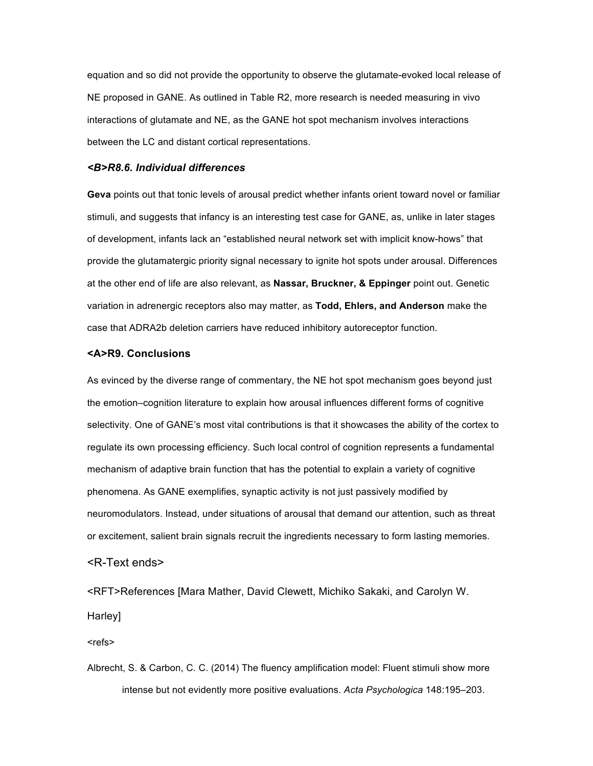equation and so did not provide the opportunity to observe the glutamate-evoked local release of NE proposed in GANE. As outlined in Table R2, more research is needed measuring in vivo interactions of glutamate and NE, as the GANE hot spot mechanism involves interactions between the LC and distant cortical representations.

#### *<B>R8.6. Individual differences*

**Geva** points out that tonic levels of arousal predict whether infants orient toward novel or familiar stimuli, and suggests that infancy is an interesting test case for GANE, as, unlike in later stages of development, infants lack an "established neural network set with implicit know-hows" that provide the glutamatergic priority signal necessary to ignite hot spots under arousal. Differences at the other end of life are also relevant, as **Nassar, Bruckner, & Eppinger** point out. Genetic variation in adrenergic receptors also may matter, as **Todd, Ehlers, and Anderson** make the case that ADRA2b deletion carriers have reduced inhibitory autoreceptor function.

# **<A>R9. Conclusions**

As evinced by the diverse range of commentary, the NE hot spot mechanism goes beyond just the emotion–cognition literature to explain how arousal influences different forms of cognitive selectivity. One of GANE's most vital contributions is that it showcases the ability of the cortex to regulate its own processing efficiency. Such local control of cognition represents a fundamental mechanism of adaptive brain function that has the potential to explain a variety of cognitive phenomena. As GANE exemplifies, synaptic activity is not just passively modified by neuromodulators. Instead, under situations of arousal that demand our attention, such as threat or excitement, salient brain signals recruit the ingredients necessary to form lasting memories.

<R-Text ends>

<RFT>References [Mara Mather, David Clewett, Michiko Sakaki, and Carolyn W. Harley]

<refs>

Albrecht, S. & Carbon, C. C. (2014) The fluency amplification model: Fluent stimuli show more intense but not evidently more positive evaluations. *Acta Psychologica* 148:195–203.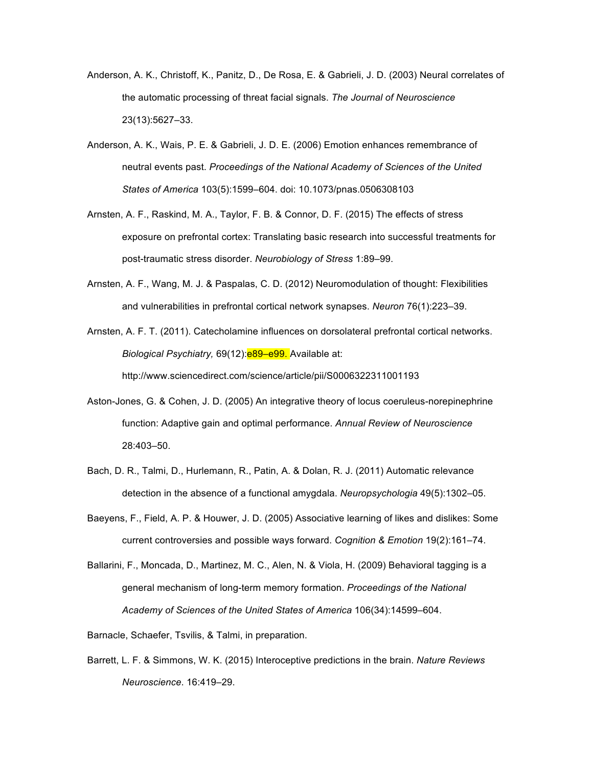- Anderson, A. K., Christoff, K., Panitz, D., De Rosa, E. & Gabrieli, J. D. (2003) Neural correlates of the automatic processing of threat facial signals. *The Journal of Neuroscience* 23(13):5627–33.
- Anderson, A. K., Wais, P. E. & Gabrieli, J. D. E. (2006) Emotion enhances remembrance of neutral events past. *Proceedings of the National Academy of Sciences of the United States of America* 103(5):1599–604. doi: 10.1073/pnas.0506308103
- Arnsten, A. F., Raskind, M. A., Taylor, F. B. & Connor, D. F. (2015) The effects of stress exposure on prefrontal cortex: Translating basic research into successful treatments for post-traumatic stress disorder. *Neurobiology of Stress* 1:89–99.
- Arnsten, A. F., Wang, M. J. & Paspalas, C. D. (2012) Neuromodulation of thought: Flexibilities and vulnerabilities in prefrontal cortical network synapses. *Neuron* 76(1):223–39.
- Arnsten, A. F. T. (2011). Catecholamine influences on dorsolateral prefrontal cortical networks. *Biological Psychiatry, 69(12): e89–e99. Available at:* http://www.sciencedirect.com/science/article/pii/S0006322311001193
- Aston-Jones, G. & Cohen, J. D. (2005) An integrative theory of locus coeruleus-norepinephrine function: Adaptive gain and optimal performance. *Annual Review of Neuroscience* 28:403–50.
- Bach, D. R., Talmi, D., Hurlemann, R., Patin, A. & Dolan, R. J. (2011) Automatic relevance detection in the absence of a functional amygdala. *Neuropsychologia* 49(5):1302–05.
- Baeyens, F., Field, A. P. & Houwer, J. D. (2005) Associative learning of likes and dislikes: Some current controversies and possible ways forward. *Cognition & Emotion* 19(2):161–74.
- Ballarini, F., Moncada, D., Martinez, M. C., Alen, N. & Viola, H. (2009) Behavioral tagging is a general mechanism of long-term memory formation. *Proceedings of the National Academy of Sciences of the United States of America* 106(34):14599–604.
- Barnacle, Schaefer, Tsvilis, & Talmi, in preparation.
- Barrett, L. F. & Simmons, W. K. (2015) Interoceptive predictions in the brain. *Nature Reviews Neuroscience*. 16:419–29.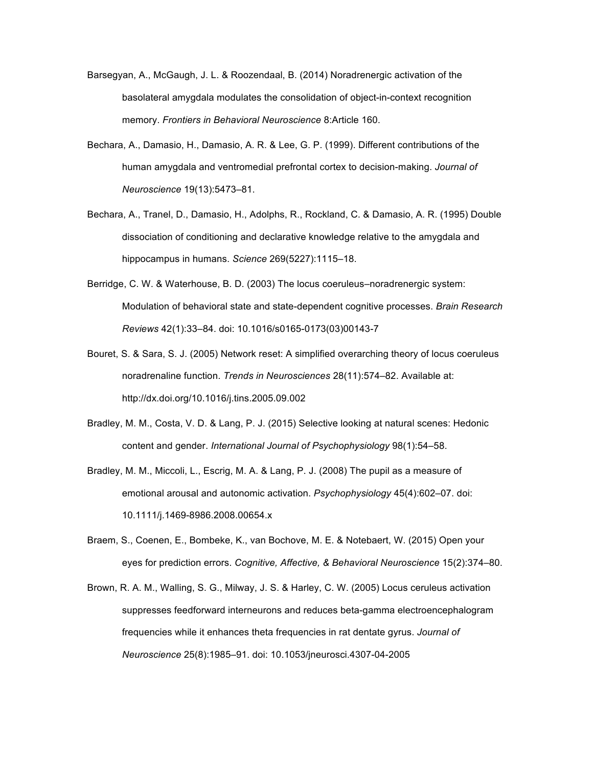- Barsegyan, A., McGaugh, J. L. & Roozendaal, B. (2014) Noradrenergic activation of the basolateral amygdala modulates the consolidation of object-in-context recognition memory. *Frontiers in Behavioral Neuroscience* 8:Article 160.
- Bechara, A., Damasio, H., Damasio, A. R. & Lee, G. P. (1999). Different contributions of the human amygdala and ventromedial prefrontal cortex to decision-making. *Journal of Neuroscience* 19(13):5473–81.
- Bechara, A., Tranel, D., Damasio, H., Adolphs, R., Rockland, C. & Damasio, A. R. (1995) Double dissociation of conditioning and declarative knowledge relative to the amygdala and hippocampus in humans. *Science* 269(5227):1115–18.
- Berridge, C. W. & Waterhouse, B. D. (2003) The locus coeruleus–noradrenergic system: Modulation of behavioral state and state-dependent cognitive processes. *Brain Research Reviews* 42(1):33–84. doi: 10.1016/s0165-0173(03)00143-7
- Bouret, S. & Sara, S. J. (2005) Network reset: A simplified overarching theory of locus coeruleus noradrenaline function. *Trends in Neurosciences* 28(11):574–82. Available at: http://dx.doi.org/10.1016/j.tins.2005.09.002
- Bradley, M. M., Costa, V. D. & Lang, P. J. (2015) Selective looking at natural scenes: Hedonic content and gender. *International Journal of Psychophysiology* 98(1):54–58.
- Bradley, M. M., Miccoli, L., Escrig, M. A. & Lang, P. J. (2008) The pupil as a measure of emotional arousal and autonomic activation. *Psychophysiology* 45(4):602–07. doi: 10.1111/j.1469-8986.2008.00654.x
- Braem, S., Coenen, E., Bombeke, K., van Bochove, M. E. & Notebaert, W. (2015) Open your eyes for prediction errors. *Cognitive, Affective, & Behavioral Neuroscience* 15(2):374–80.
- Brown, R. A. M., Walling, S. G., Milway, J. S. & Harley, C. W. (2005) Locus ceruleus activation suppresses feedforward interneurons and reduces beta-gamma electroencephalogram frequencies while it enhances theta frequencies in rat dentate gyrus. *Journal of Neuroscience* 25(8):1985–91. doi: 10.1053/jneurosci.4307-04-2005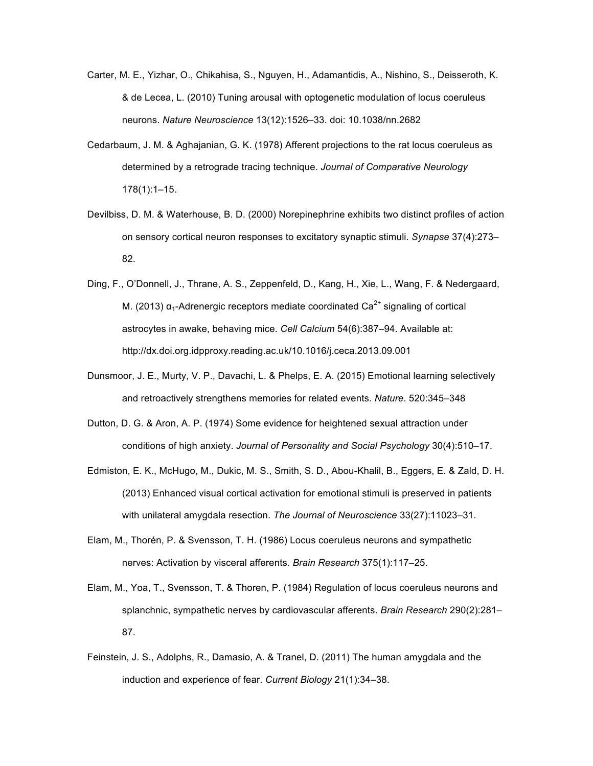- Carter, M. E., Yizhar, O., Chikahisa, S., Nguyen, H., Adamantidis, A., Nishino, S., Deisseroth, K. & de Lecea, L. (2010) Tuning arousal with optogenetic modulation of locus coeruleus neurons. *Nature Neuroscience* 13(12):1526–33. doi: 10.1038/nn.2682
- Cedarbaum, J. M. & Aghajanian, G. K. (1978) Afferent projections to the rat locus coeruleus as determined by a retrograde tracing technique. *Journal of Comparative Neurology* 178(1):1–15.
- Devilbiss, D. M. & Waterhouse, B. D. (2000) Norepinephrine exhibits two distinct profiles of action on sensory cortical neuron responses to excitatory synaptic stimuli. *Synapse* 37(4):273– 82.
- Ding, F., O'Donnell, J., Thrane, A. S., Zeppenfeld, D., Kang, H., Xie, L., Wang, F. & Nedergaard, M. (2013)  $\alpha_1$ -Adrenergic receptors mediate coordinated Ca<sup>2+</sup> signaling of cortical astrocytes in awake, behaving mice. *Cell Calcium* 54(6):387–94. Available at: http://dx.doi.org.idpproxy.reading.ac.uk/10.1016/j.ceca.2013.09.001
- Dunsmoor, J. E., Murty, V. P., Davachi, L. & Phelps, E. A. (2015) Emotional learning selectively and retroactively strengthens memories for related events. *Nature*. 520:345–348
- Dutton, D. G. & Aron, A. P. (1974) Some evidence for heightened sexual attraction under conditions of high anxiety. *Journal of Personality and Social Psychology* 30(4):510–17.
- Edmiston, E. K., McHugo, M., Dukic, M. S., Smith, S. D., Abou-Khalil, B., Eggers, E. & Zald, D. H. (2013) Enhanced visual cortical activation for emotional stimuli is preserved in patients with unilateral amygdala resection. *The Journal of Neuroscience* 33(27):11023–31.
- Elam, M., Thorén, P. & Svensson, T. H. (1986) Locus coeruleus neurons and sympathetic nerves: Activation by visceral afferents. *Brain Research* 375(1):117–25.
- Elam, M., Yoa, T., Svensson, T. & Thoren, P. (1984) Regulation of locus coeruleus neurons and splanchnic, sympathetic nerves by cardiovascular afferents. *Brain Research* 290(2):281– 87.
- Feinstein, J. S., Adolphs, R., Damasio, A. & Tranel, D. (2011) The human amygdala and the induction and experience of fear. *Current Biology* 21(1):34–38.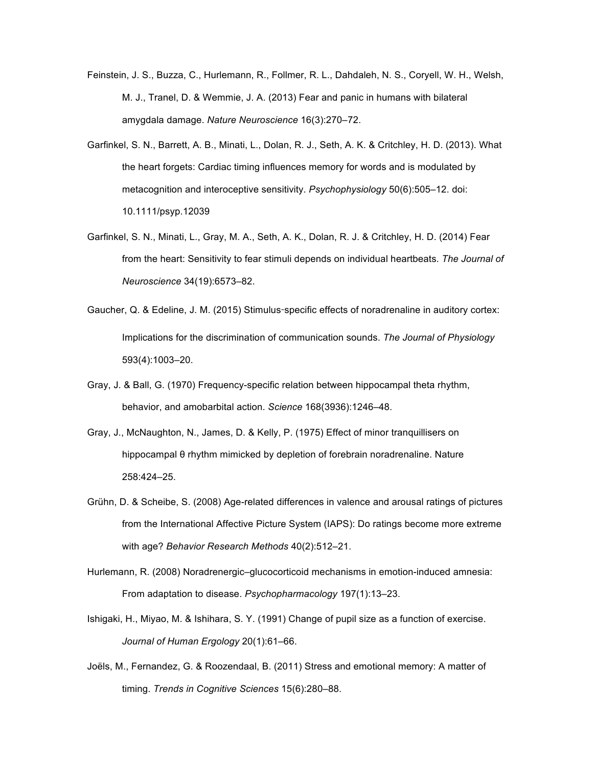- Feinstein, J. S., Buzza, C., Hurlemann, R., Follmer, R. L., Dahdaleh, N. S., Coryell, W. H., Welsh, M. J., Tranel, D. & Wemmie, J. A. (2013) Fear and panic in humans with bilateral amygdala damage. *Nature Neuroscience* 16(3):270–72.
- Garfinkel, S. N., Barrett, A. B., Minati, L., Dolan, R. J., Seth, A. K. & Critchley, H. D. (2013). What the heart forgets: Cardiac timing influences memory for words and is modulated by metacognition and interoceptive sensitivity. *Psychophysiology* 50(6):505–12. doi: 10.1111/psyp.12039
- Garfinkel, S. N., Minati, L., Gray, M. A., Seth, A. K., Dolan, R. J. & Critchley, H. D. (2014) Fear from the heart: Sensitivity to fear stimuli depends on individual heartbeats. *The Journal of Neuroscience* 34(19):6573–82.
- Gaucher, Q. & Edeline, J. M. (2015) Stimulus-specific effects of noradrenaline in auditory cortex: Implications for the discrimination of communication sounds. *The Journal of Physiology* 593(4):1003–20.
- Gray, J. & Ball, G. (1970) Frequency-specific relation between hippocampal theta rhythm, behavior, and amobarbital action. *Science* 168(3936):1246–48.
- Gray, J., McNaughton, N., James, D. & Kelly, P. (1975) Effect of minor tranquillisers on hippocampal θ rhythm mimicked by depletion of forebrain noradrenaline. Nature 258:424–25.
- Grühn, D. & Scheibe, S. (2008) Age-related differences in valence and arousal ratings of pictures from the International Affective Picture System (IAPS): Do ratings become more extreme with age? *Behavior Research Methods* 40(2):512–21.
- Hurlemann, R. (2008) Noradrenergic–glucocorticoid mechanisms in emotion-induced amnesia: From adaptation to disease. *Psychopharmacology* 197(1):13–23.
- Ishigaki, H., Miyao, M. & Ishihara, S. Y. (1991) Change of pupil size as a function of exercise. *Journal of Human Ergology* 20(1):61–66.
- Joëls, M., Fernandez, G. & Roozendaal, B. (2011) Stress and emotional memory: A matter of timing. *Trends in Cognitive Sciences* 15(6):280–88.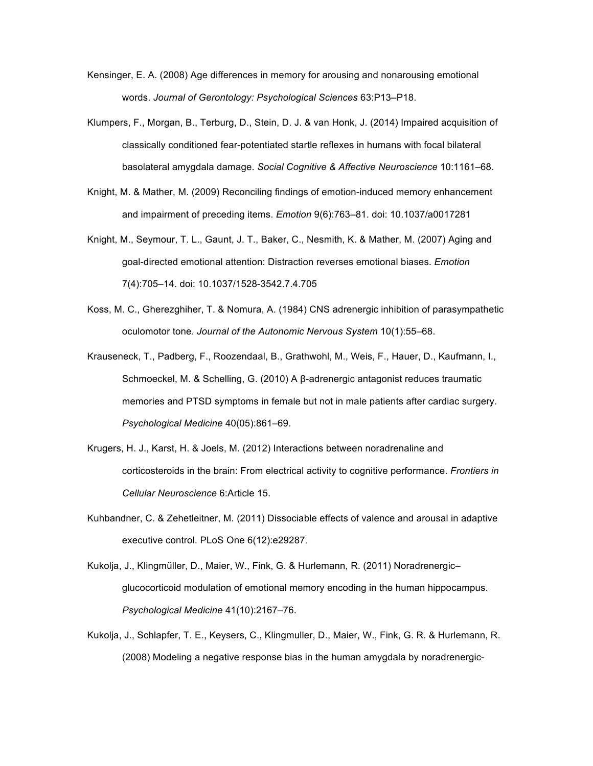- Kensinger, E. A. (2008) Age differences in memory for arousing and nonarousing emotional words. *Journal of Gerontology: Psychological Sciences* 63:P13–P18.
- Klumpers, F., Morgan, B., Terburg, D., Stein, D. J. & van Honk, J. (2014) Impaired acquisition of classically conditioned fear-potentiated startle reflexes in humans with focal bilateral basolateral amygdala damage. *Social Cognitive & Affective Neuroscience* 10:1161–68.
- Knight, M. & Mather, M. (2009) Reconciling findings of emotion-induced memory enhancement and impairment of preceding items. *Emotion* 9(6):763–81. doi: 10.1037/a0017281
- Knight, M., Seymour, T. L., Gaunt, J. T., Baker, C., Nesmith, K. & Mather, M. (2007) Aging and goal-directed emotional attention: Distraction reverses emotional biases. *Emotion* 7(4):705–14. doi: 10.1037/1528-3542.7.4.705
- Koss, M. C., Gherezghiher, T. & Nomura, A. (1984) CNS adrenergic inhibition of parasympathetic oculomotor tone. *Journal of the Autonomic Nervous System* 10(1):55–68.
- Krauseneck, T., Padberg, F., Roozendaal, B., Grathwohl, M., Weis, F., Hauer, D., Kaufmann, I., Schmoeckel, M. & Schelling, G. (2010) A β-adrenergic antagonist reduces traumatic memories and PTSD symptoms in female but not in male patients after cardiac surgery. *Psychological Medicine* 40(05):861–69.
- Krugers, H. J., Karst, H. & Joels, M. (2012) Interactions between noradrenaline and corticosteroids in the brain: From electrical activity to cognitive performance. *Frontiers in Cellular Neuroscience* 6:Article 15.
- Kuhbandner, C. & Zehetleitner, M. (2011) Dissociable effects of valence and arousal in adaptive executive control. PLoS One 6(12):e29287.
- Kukolja, J., Klingmüller, D., Maier, W., Fink, G. & Hurlemann, R. (2011) Noradrenergic– glucocorticoid modulation of emotional memory encoding in the human hippocampus. *Psychological Medicine* 41(10):2167–76.
- Kukolja, J., Schlapfer, T. E., Keysers, C., Klingmuller, D., Maier, W., Fink, G. R. & Hurlemann, R. (2008) Modeling a negative response bias in the human amygdala by noradrenergic-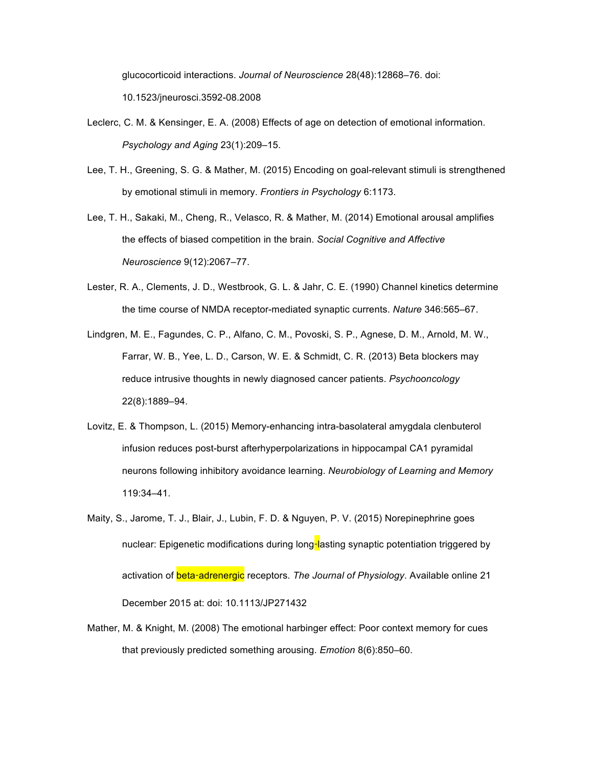glucocorticoid interactions. *Journal of Neuroscience* 28(48):12868–76. doi: 10.1523/jneurosci.3592-08.2008

- Leclerc, C. M. & Kensinger, E. A. (2008) Effects of age on detection of emotional information. *Psychology and Aging* 23(1):209–15.
- Lee, T. H., Greening, S. G. & Mather, M. (2015) Encoding on goal-relevant stimuli is strengthened by emotional stimuli in memory. *Frontiers in Psychology* 6:1173.
- Lee, T. H., Sakaki, M., Cheng, R., Velasco, R. & Mather, M. (2014) Emotional arousal amplifies the effects of biased competition in the brain. *Social Cognitive and Affective Neuroscience* 9(12):2067–77.
- Lester, R. A., Clements, J. D., Westbrook, G. L. & Jahr, C. E. (1990) Channel kinetics determine the time course of NMDA receptor-mediated synaptic currents. *Nature* 346:565–67.
- Lindgren, M. E., Fagundes, C. P., Alfano, C. M., Povoski, S. P., Agnese, D. M., Arnold, M. W., Farrar, W. B., Yee, L. D., Carson, W. E. & Schmidt, C. R. (2013) Beta blockers may reduce intrusive thoughts in newly diagnosed cancer patients. *Psychooncology* 22(8):1889–94.
- Lovitz, E. & Thompson, L. (2015) Memory-enhancing intra-basolateral amygdala clenbuterol infusion reduces post-burst afterhyperpolarizations in hippocampal CA1 pyramidal neurons following inhibitory avoidance learning. *Neurobiology of Learning and Memory* 119:34–41.
- Maity, S., Jarome, T. J., Blair, J., Lubin, F. D. & Nguyen, P. V. (2015) Norepinephrine goes nuclear: Epigenetic modifications during long-lasting synaptic potentiation triggered by activation of **beta-adrenergic** receptors. The Journal of Physiology. Available online 21 December 2015 at: doi: 10.1113/JP271432
- Mather, M. & Knight, M. (2008) The emotional harbinger effect: Poor context memory for cues that previously predicted something arousing. *Emotion* 8(6):850–60.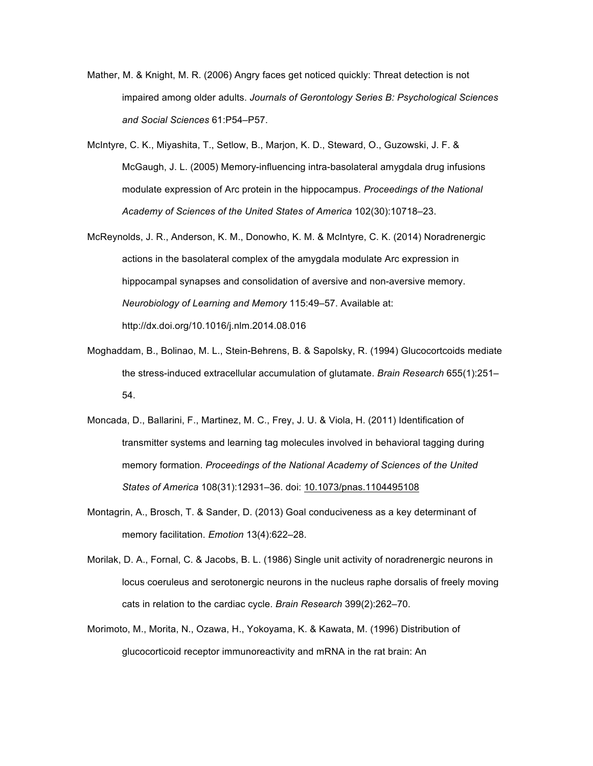- Mather, M. & Knight, M. R. (2006) Angry faces get noticed quickly: Threat detection is not impaired among older adults. *Journals of Gerontology Series B: Psychological Sciences and Social Sciences* 61:P54–P57.
- McIntyre, C. K., Miyashita, T., Setlow, B., Marjon, K. D., Steward, O., Guzowski, J. F. & McGaugh, J. L. (2005) Memory-influencing intra-basolateral amygdala drug infusions modulate expression of Arc protein in the hippocampus. *Proceedings of the National Academy of Sciences of the United States of America* 102(30):10718–23.
- McReynolds, J. R., Anderson, K. M., Donowho, K. M. & McIntyre, C. K. (2014) Noradrenergic actions in the basolateral complex of the amygdala modulate Arc expression in hippocampal synapses and consolidation of aversive and non-aversive memory. *Neurobiology of Learning and Memory* 115:49–57. Available at: http://dx.doi.org/10.1016/j.nlm.2014.08.016
- Moghaddam, B., Bolinao, M. L., Stein-Behrens, B. & Sapolsky, R. (1994) Glucocortcoids mediate the stress-induced extracellular accumulation of glutamate. *Brain Research* 655(1):251– 54.
- Moncada, D., Ballarini, F., Martinez, M. C., Frey, J. U. & Viola, H. (2011) Identification of transmitter systems and learning tag molecules involved in behavioral tagging during memory formation. *Proceedings of the National Academy of Sciences of the United States of America* 108(31):12931–36. doi: 10.1073/pnas.1104495108
- Montagrin, A., Brosch, T. & Sander, D. (2013) Goal conduciveness as a key determinant of memory facilitation. *Emotion* 13(4):622–28.
- Morilak, D. A., Fornal, C. & Jacobs, B. L. (1986) Single unit activity of noradrenergic neurons in locus coeruleus and serotonergic neurons in the nucleus raphe dorsalis of freely moving cats in relation to the cardiac cycle. *Brain Research* 399(2):262–70.
- Morimoto, M., Morita, N., Ozawa, H., Yokoyama, K. & Kawata, M. (1996) Distribution of glucocorticoid receptor immunoreactivity and mRNA in the rat brain: An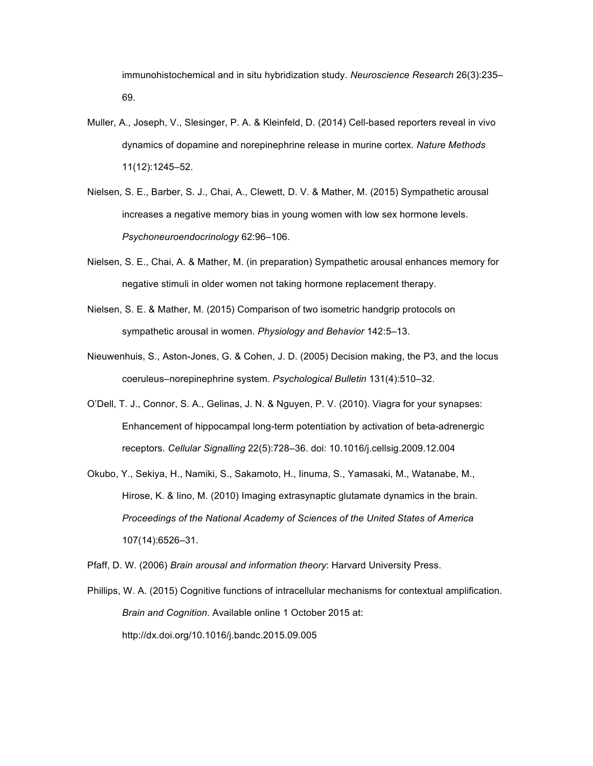immunohistochemical and in situ hybridization study. *Neuroscience Research* 26(3):235– 69.

- Muller, A., Joseph, V., Slesinger, P. A. & Kleinfeld, D. (2014) Cell-based reporters reveal in vivo dynamics of dopamine and norepinephrine release in murine cortex. *Nature Methods* 11(12):1245–52.
- Nielsen, S. E., Barber, S. J., Chai, A., Clewett, D. V. & Mather, M. (2015) Sympathetic arousal increases a negative memory bias in young women with low sex hormone levels. *Psychoneuroendocrinology* 62:96–106.
- Nielsen, S. E., Chai, A. & Mather, M. (in preparation) Sympathetic arousal enhances memory for negative stimuli in older women not taking hormone replacement therapy.
- Nielsen, S. E. & Mather, M. (2015) Comparison of two isometric handgrip protocols on sympathetic arousal in women. *Physiology and Behavior* 142:5–13.
- Nieuwenhuis, S., Aston-Jones, G. & Cohen, J. D. (2005) Decision making, the P3, and the locus coeruleus–norepinephrine system. *Psychological Bulletin* 131(4):510–32.
- O'Dell, T. J., Connor, S. A., Gelinas, J. N. & Nguyen, P. V. (2010). Viagra for your synapses: Enhancement of hippocampal long-term potentiation by activation of beta-adrenergic receptors. *Cellular Signalling* 22(5):728–36. doi: 10.1016/j.cellsig.2009.12.004
- Okubo, Y., Sekiya, H., Namiki, S., Sakamoto, H., Iinuma, S., Yamasaki, M., Watanabe, M., Hirose, K. & Iino, M. (2010) Imaging extrasynaptic glutamate dynamics in the brain. *Proceedings of the National Academy of Sciences of the United States of America* 107(14):6526–31.

Pfaff, D. W. (2006) *Brain arousal and information theory*: Harvard University Press.

Phillips, W. A. (2015) Cognitive functions of intracellular mechanisms for contextual amplification. *Brain and Cognition*. Available online 1 October 2015 at: http://dx.doi.org/10.1016/j.bandc.2015.09.005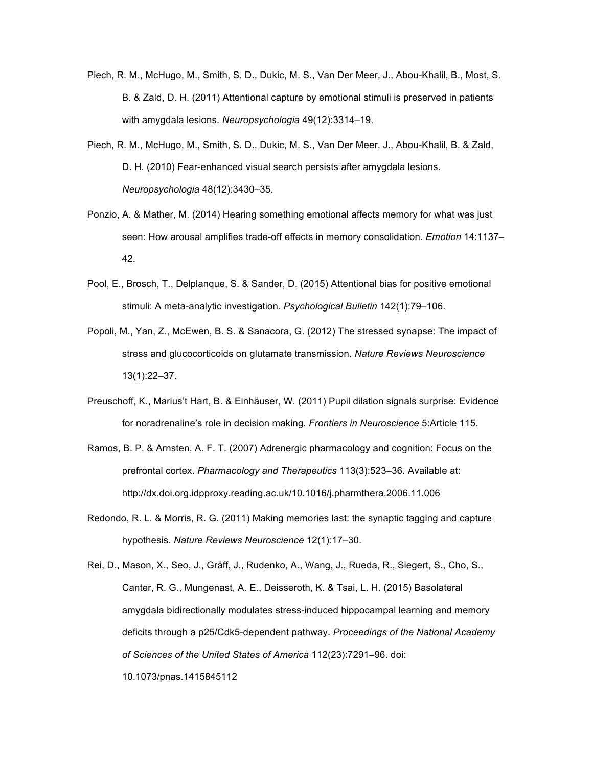- Piech, R. M., McHugo, M., Smith, S. D., Dukic, M. S., Van Der Meer, J., Abou-Khalil, B., Most, S. B. & Zald, D. H. (2011) Attentional capture by emotional stimuli is preserved in patients with amygdala lesions. *Neuropsychologia* 49(12):3314–19.
- Piech, R. M., McHugo, M., Smith, S. D., Dukic, M. S., Van Der Meer, J., Abou-Khalil, B. & Zald, D. H. (2010) Fear-enhanced visual search persists after amygdala lesions. *Neuropsychologia* 48(12):3430–35.
- Ponzio, A. & Mather, M. (2014) Hearing something emotional affects memory for what was just seen: How arousal amplifies trade-off effects in memory consolidation. *Emotion* 14:1137– 42.
- Pool, E., Brosch, T., Delplanque, S. & Sander, D. (2015) Attentional bias for positive emotional stimuli: A meta-analytic investigation. *Psychological Bulletin* 142(1):79–106.
- Popoli, M., Yan, Z., McEwen, B. S. & Sanacora, G. (2012) The stressed synapse: The impact of stress and glucocorticoids on glutamate transmission. *Nature Reviews Neuroscience* 13(1):22–37.
- Preuschoff, K., Marius't Hart, B. & Einhäuser, W. (2011) Pupil dilation signals surprise: Evidence for noradrenaline's role in decision making. *Frontiers in Neuroscience* 5:Article 115.
- Ramos, B. P. & Arnsten, A. F. T. (2007) Adrenergic pharmacology and cognition: Focus on the prefrontal cortex. *Pharmacology and Therapeutics* 113(3):523–36. Available at: http://dx.doi.org.idpproxy.reading.ac.uk/10.1016/j.pharmthera.2006.11.006
- Redondo, R. L. & Morris, R. G. (2011) Making memories last: the synaptic tagging and capture hypothesis. *Nature Reviews Neuroscience* 12(1):17–30.

Rei, D., Mason, X., Seo, J., Gräff, J., Rudenko, A., Wang, J., Rueda, R., Siegert, S., Cho, S., Canter, R. G., Mungenast, A. E., Deisseroth, K. & Tsai, L. H. (2015) Basolateral amygdala bidirectionally modulates stress-induced hippocampal learning and memory deficits through a p25/Cdk5-dependent pathway. *Proceedings of the National Academy of Sciences of the United States of America* 112(23):7291–96. doi: 10.1073/pnas.1415845112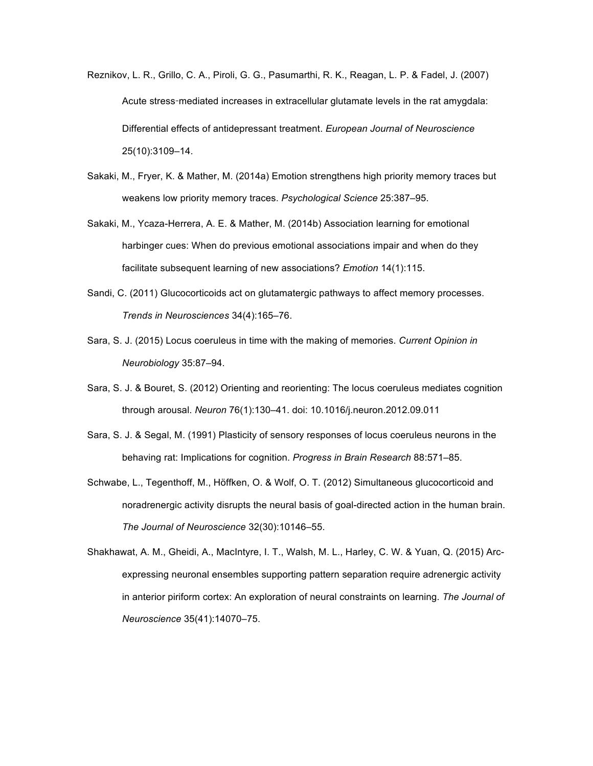- Reznikov, L. R., Grillo, C. A., Piroli, G. G., Pasumarthi, R. K., Reagan, L. P. & Fadel, J. (2007) Acute stress-mediated increases in extracellular glutamate levels in the rat amygdala: Differential effects of antidepressant treatment. *European Journal of Neuroscience* 25(10):3109–14.
- Sakaki, M., Fryer, K. & Mather, M. (2014a) Emotion strengthens high priority memory traces but weakens low priority memory traces. *Psychological Science* 25:387–95.
- Sakaki, M., Ycaza-Herrera, A. E. & Mather, M. (2014b) Association learning for emotional harbinger cues: When do previous emotional associations impair and when do they facilitate subsequent learning of new associations? *Emotion* 14(1):115.
- Sandi, C. (2011) Glucocorticoids act on glutamatergic pathways to affect memory processes. *Trends in Neurosciences* 34(4):165–76.
- Sara, S. J. (2015) Locus coeruleus in time with the making of memories. *Current Opinion in Neurobiology* 35:87–94.
- Sara, S. J. & Bouret, S. (2012) Orienting and reorienting: The locus coeruleus mediates cognition through arousal. *Neuron* 76(1):130–41. doi: 10.1016/j.neuron.2012.09.011
- Sara, S. J. & Segal, M. (1991) Plasticity of sensory responses of locus coeruleus neurons in the behaving rat: Implications for cognition. *Progress in Brain Research* 88:571–85.
- Schwabe, L., Tegenthoff, M., Höffken, O. & Wolf, O. T. (2012) Simultaneous glucocorticoid and noradrenergic activity disrupts the neural basis of goal-directed action in the human brain. *The Journal of Neuroscience* 32(30):10146–55.
- Shakhawat, A. M., Gheidi, A., MacIntyre, I. T., Walsh, M. L., Harley, C. W. & Yuan, Q. (2015) Arcexpressing neuronal ensembles supporting pattern separation require adrenergic activity in anterior piriform cortex: An exploration of neural constraints on learning. *The Journal of Neuroscience* 35(41):14070–75.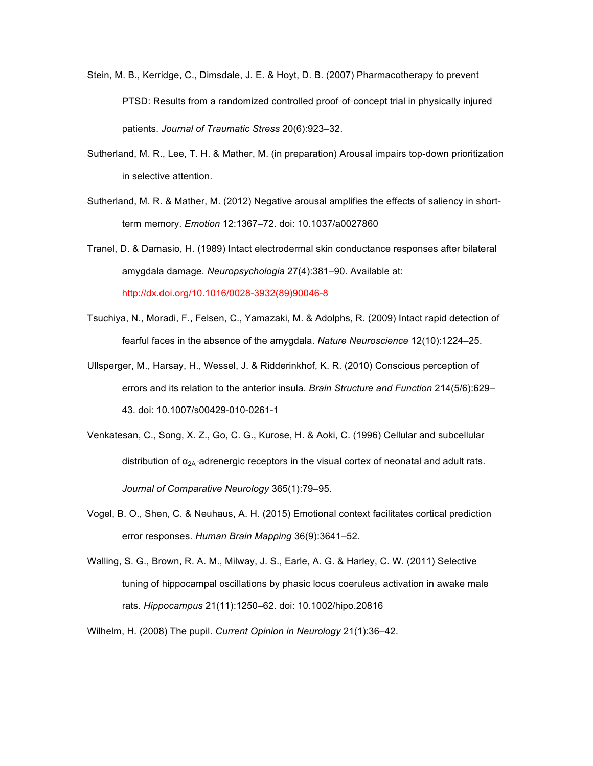- Stein, M. B., Kerridge, C., Dimsdale, J. E. & Hoyt, D. B. (2007) Pharmacotherapy to prevent PTSD: Results from a randomized controlled proof-of-concept trial in physically injured patients. *Journal of Traumatic Stress* 20(6):923–32.
- Sutherland, M. R., Lee, T. H. & Mather, M. (in preparation) Arousal impairs top-down prioritization in selective attention.
- Sutherland, M. R. & Mather, M. (2012) Negative arousal amplifies the effects of saliency in shortterm memory. *Emotion* 12:1367–72. doi: 10.1037/a0027860
- Tranel, D. & Damasio, H. (1989) Intact electrodermal skin conductance responses after bilateral amygdala damage. *Neuropsychologia* 27(4):381–90. Available at: http://dx.doi.org/10.1016/0028-3932(89)90046-8
- Tsuchiya, N., Moradi, F., Felsen, C., Yamazaki, M. & Adolphs, R. (2009) Intact rapid detection of fearful faces in the absence of the amygdala. *Nature Neuroscience* 12(10):1224–25.
- Ullsperger, M., Harsay, H., Wessel, J. & Ridderinkhof, K. R. (2010) Conscious perception of errors and its relation to the anterior insula. *Brain Structure and Function* 214(5/6):629– 43. doi: 10.1007/s00429-010-0261-1
- Venkatesan, C., Song, X. Z., Go, C. G., Kurose, H. & Aoki, C. (1996) Cellular and subcellular distribution of  $\alpha_{2A}$ -adrenergic receptors in the visual cortex of neonatal and adult rats. *Journal of Comparative Neurology* 365(1):79–95.
- Vogel, B. O., Shen, C. & Neuhaus, A. H. (2015) Emotional context facilitates cortical prediction error responses. *Human Brain Mapping* 36(9):3641–52.
- Walling, S. G., Brown, R. A. M., Milway, J. S., Earle, A. G. & Harley, C. W. (2011) Selective tuning of hippocampal oscillations by phasic locus coeruleus activation in awake male rats. *Hippocampus* 21(11):1250–62. doi: 10.1002/hipo.20816

Wilhelm, H. (2008) The pupil. *Current Opinion in Neurology* 21(1):36–42.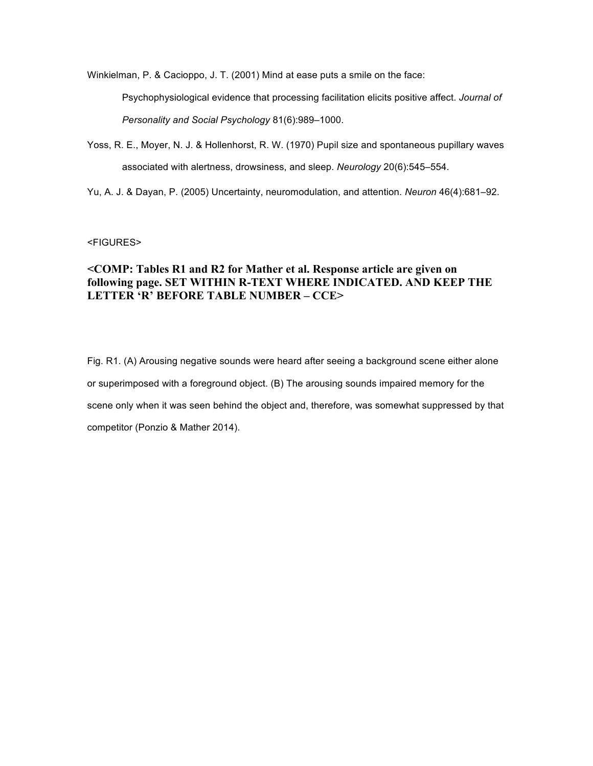Winkielman, P. & Cacioppo, J. T. (2001) Mind at ease puts a smile on the face:

Psychophysiological evidence that processing facilitation elicits positive affect. *Journal of Personality and Social Psychology* 81(6):989–1000.

Yoss, R. E., Moyer, N. J. & Hollenhorst, R. W. (1970) Pupil size and spontaneous pupillary waves associated with alertness, drowsiness, and sleep. *Neurology* 20(6):545–554.

Yu, A. J. & Dayan, P. (2005) Uncertainty, neuromodulation, and attention. *Neuron* 46(4):681–92.

# <FIGURES>

# **<COMP: Tables R1 and R2 for Mather et al. Response article are given on following page. SET WITHIN R-TEXT WHERE INDICATED. AND KEEP THE LETTER 'R' BEFORE TABLE NUMBER – CCE>**

Fig. R1. (A) Arousing negative sounds were heard after seeing a background scene either alone or superimposed with a foreground object. (B) The arousing sounds impaired memory for the scene only when it was seen behind the object and, therefore, was somewhat suppressed by that competitor (Ponzio & Mather 2014).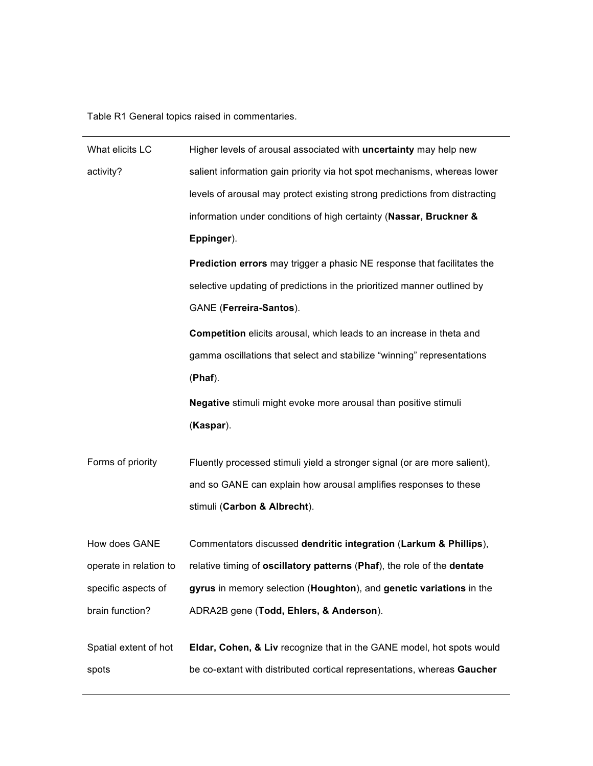Table R1 General topics raised in commentaries.

| What elicits LC        | Higher levels of arousal associated with <b>uncertainty</b> may help new   |
|------------------------|----------------------------------------------------------------------------|
| activity?              | salient information gain priority via hot spot mechanisms, whereas lower   |
|                        | levels of arousal may protect existing strong predictions from distracting |
|                        | information under conditions of high certainty (Nassar, Bruckner &         |
|                        | Eppinger).                                                                 |
|                        | Prediction errors may trigger a phasic NE response that facilitates the    |
|                        | selective updating of predictions in the prioritized manner outlined by    |
|                        | GANE (Ferreira-Santos).                                                    |
|                        | Competition elicits arousal, which leads to an increase in theta and       |
|                        | gamma oscillations that select and stabilize "winning" representations     |
|                        | (Phaf).                                                                    |
|                        | Negative stimuli might evoke more arousal than positive stimuli            |
|                        |                                                                            |
|                        | (Kaspar).                                                                  |
| Forms of priority      | Fluently processed stimuli yield a stronger signal (or are more salient),  |
|                        | and so GANE can explain how arousal amplifies responses to these           |
|                        | stimuli (Carbon & Albrecht).                                               |
|                        |                                                                            |
| How does GANE          | Commentators discussed dendritic integration (Larkum & Phillips),          |
| operate in relation to | relative timing of oscillatory patterns (Phaf), the role of the dentate    |
| specific aspects of    | gyrus in memory selection (Houghton), and genetic variations in the        |
| brain function?        | ADRA2B gene (Todd, Ehlers, & Anderson).                                    |
| Spatial extent of hot  | Eldar, Cohen, & Liv recognize that in the GANE model, hot spots would      |
| spots                  | be co-extant with distributed cortical representations, whereas Gaucher    |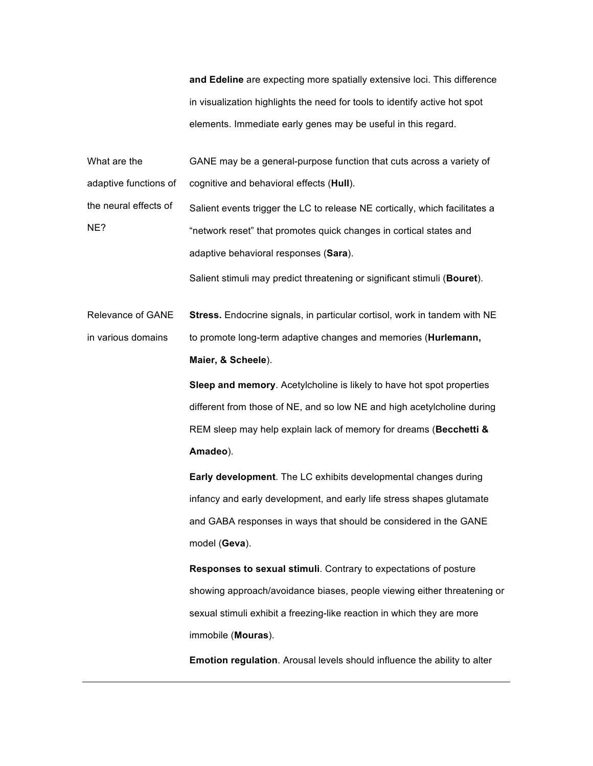**and Edeline** are expecting more spatially extensive loci. This difference in visualization highlights the need for tools to identify active hot spot elements. Immediate early genes may be useful in this regard.

What are the adaptive functions of GANE may be a general-purpose function that cuts across a variety of cognitive and behavioral effects (**Hull**).

the neural effects of NE? Salient events trigger the LC to release NE cortically, which facilitates a "network reset" that promotes quick changes in cortical states and adaptive behavioral responses (**Sara**).

Salient stimuli may predict threatening or significant stimuli (**Bouret**).

Relevance of GANE in various domains **Stress.** Endocrine signals, in particular cortisol, work in tandem with NE to promote long-term adaptive changes and memories (**Hurlemann, Maier, & Scheele**).

> **Sleep and memory**. Acetylcholine is likely to have hot spot properties different from those of NE, and so low NE and high acetylcholine during REM sleep may help explain lack of memory for dreams (**Becchetti & Amadeo**).

**Early development**. The LC exhibits developmental changes during infancy and early development, and early life stress shapes glutamate and GABA responses in ways that should be considered in the GANE model (**Geva**).

**Responses to sexual stimuli**. Contrary to expectations of posture showing approach/avoidance biases, people viewing either threatening or sexual stimuli exhibit a freezing-like reaction in which they are more immobile (**Mouras**).

**Emotion regulation**. Arousal levels should influence the ability to alter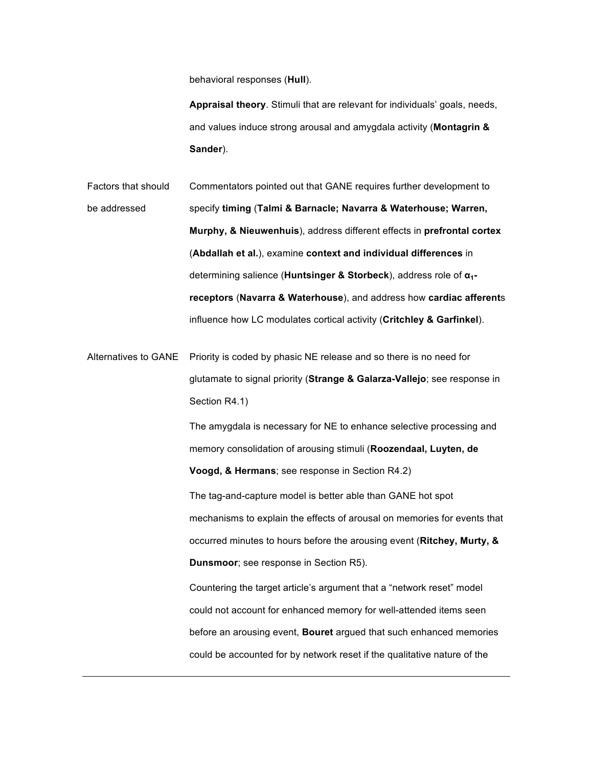behavioral responses (**Hull**).

**Appraisal theory**. Stimuli that are relevant for individuals' goals, needs, and values induce strong arousal and amygdala activity (**Montagrin & Sander**).

- Factors that should be addressed Commentators pointed out that GANE requires further development to specify **timing** (**Talmi & Barnacle; Navarra & Waterhouse; Warren, Murphy, & Nieuwenhuis**), address different effects in **prefrontal cortex** (**Abdallah et al.**), examine **context and individual differences** in determining salience (**Huntsinger & Storbeck**), address role of **α1 receptors** (**Navarra & Waterhouse**), and address how **cardiac afferent**s influence how LC modulates cortical activity (**Critchley & Garfinkel**).
- Alternatives to GANE Priority is coded by phasic NE release and so there is no need for glutamate to signal priority (**Strange & Galarza-Vallejo**; see response in Section R4.1)

The amygdala is necessary for NE to enhance selective processing and memory consolidation of arousing stimuli (**Roozendaal, Luyten, de Voogd, & Hermans**; see response in Section R4.2)

The tag-and-capture model is better able than GANE hot spot mechanisms to explain the effects of arousal on memories for events that occurred minutes to hours before the arousing event (**Ritchey, Murty, & Dunsmoor**; see response in Section R5).

Countering the target article's argument that a "network reset" model could not account for enhanced memory for well-attended items seen before an arousing event, **Bouret** argued that such enhanced memories could be accounted for by network reset if the qualitative nature of the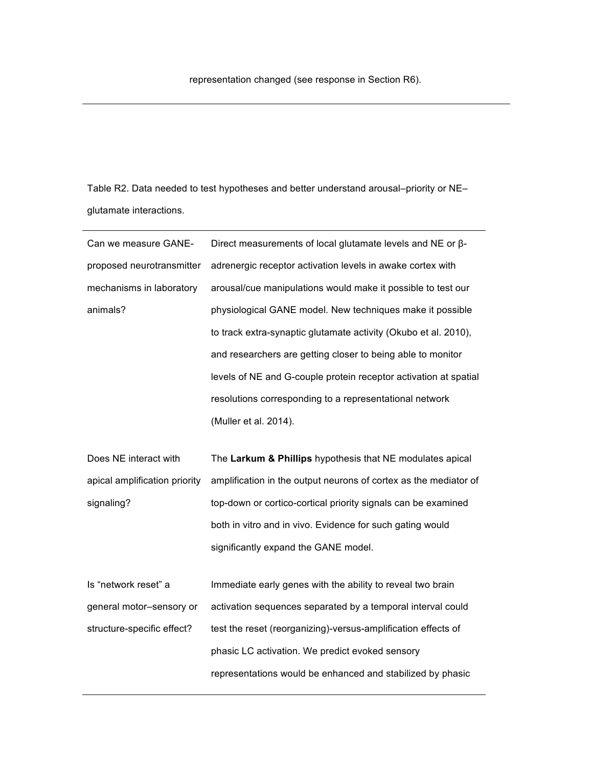Table R2. Data needed to test hypotheses and better understand arousal–priority or NE– glutamate interactions.

| Can we measure GANE-      | Direct measurements of local glutamate levels and NE or $\beta$ - |
|---------------------------|-------------------------------------------------------------------|
| proposed neurotransmitter | adrenergic receptor activation levels in awake cortex with        |
| mechanisms in laboratory  | arousal/cue manipulations would make it possible to test our      |
| animals?                  | physiological GANE model. New techniques make it possible         |
|                           | to track extra-synaptic glutamate activity (Okubo et al. 2010),   |
|                           | and researchers are getting closer to being able to monitor       |
|                           | levels of NE and G-couple protein receptor activation at spatial  |
|                           | resolutions corresponding to a representational network           |
|                           | (Muller et al. 2014).                                             |

| Does NE interact with         | The Larkum & Phillips hypothesis that NE modulates apical        |
|-------------------------------|------------------------------------------------------------------|
| apical amplification priority | amplification in the output neurons of cortex as the mediator of |
| signaling?                    | top-down or cortico-cortical priority signals can be examined    |
|                               | both in vitro and in vivo. Evidence for such gating would        |
|                               | significantly expand the GANE model.                             |

| Is "network reset" a       | Immediate early genes with the ability to reveal two brain    |
|----------------------------|---------------------------------------------------------------|
| general motor-sensory or   | activation sequences separated by a temporal interval could   |
| structure-specific effect? | test the reset (reorganizing)-versus-amplification effects of |
|                            | phasic LC activation. We predict evoked sensory               |
|                            | representations would be enhanced and stabilized by phasic    |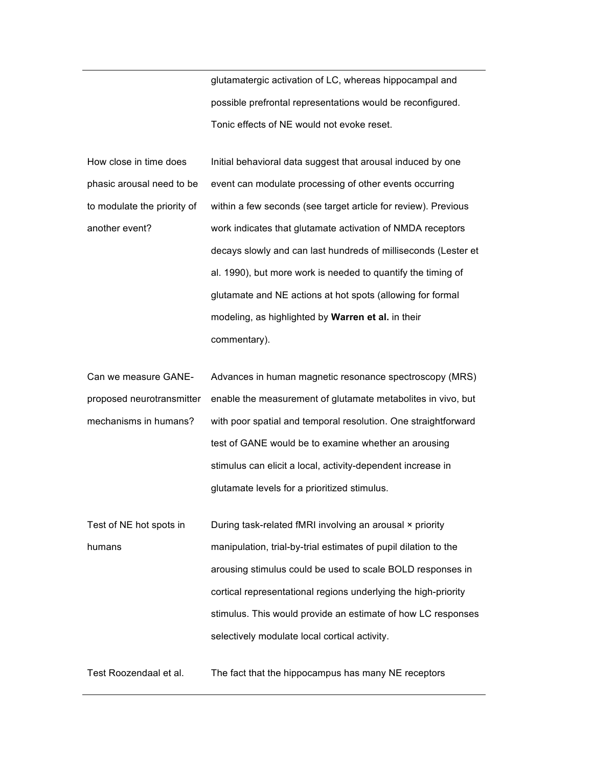glutamatergic activation of LC, whereas hippocampal and possible prefrontal representations would be reconfigured. Tonic effects of NE would not evoke reset.

How close in time does phasic arousal need to be to modulate the priority of another event?

Initial behavioral data suggest that arousal induced by one event can modulate processing of other events occurring within a few seconds (see target article for review). Previous work indicates that glutamate activation of NMDA receptors decays slowly and can last hundreds of milliseconds (Lester et al. 1990), but more work is needed to quantify the timing of glutamate and NE actions at hot spots (allowing for formal modeling, as highlighted by **Warren et al.** in their commentary).

Can we measure GANEproposed neurotransmitter mechanisms in humans? Advances in human magnetic resonance spectroscopy (MRS) enable the measurement of glutamate metabolites in vivo, but with poor spatial and temporal resolution. One straightforward test of GANE would be to examine whether an arousing stimulus can elicit a local, activity-dependent increase in glutamate levels for a prioritized stimulus.

Test of NE hot spots in humans During task-related fMRI involving an arousal × priority manipulation, trial-by-trial estimates of pupil dilation to the arousing stimulus could be used to scale BOLD responses in cortical representational regions underlying the high-priority stimulus. This would provide an estimate of how LC responses selectively modulate local cortical activity.

Test Roozendaal et al. The fact that the hippocampus has many NE receptors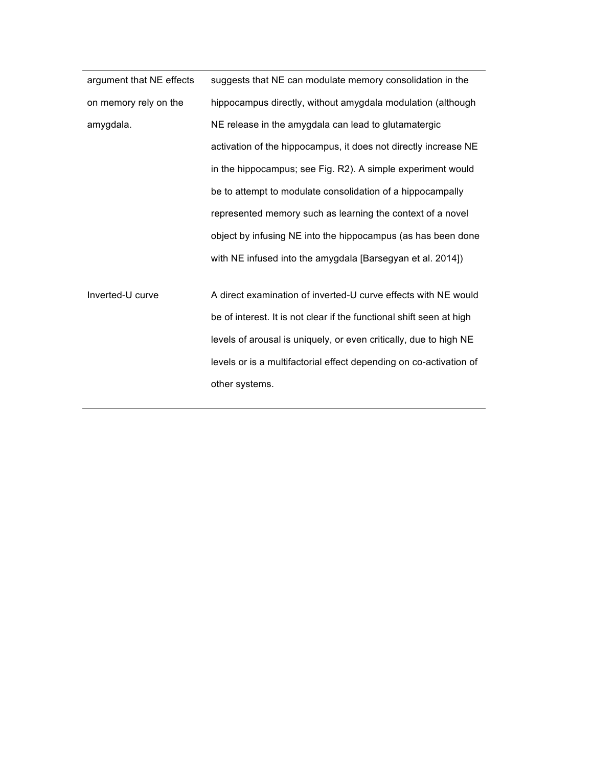| suggests that NE can modulate memory consolidation in the            |
|----------------------------------------------------------------------|
| hippocampus directly, without amygdala modulation (although          |
| NE release in the amygdala can lead to glutamatergic                 |
| activation of the hippocampus, it does not directly increase NE      |
| in the hippocampus; see Fig. R2). A simple experiment would          |
| be to attempt to modulate consolidation of a hippocampally           |
| represented memory such as learning the context of a novel           |
| object by infusing NE into the hippocampus (as has been done         |
| with NE infused into the amygdala [Barsegyan et al. 2014])           |
|                                                                      |
| A direct examination of inverted-U curve effects with NE would       |
| be of interest. It is not clear if the functional shift seen at high |
| levels of arousal is uniquely, or even critically, due to high NE    |
| levels or is a multifactorial effect depending on co-activation of   |
| other systems.                                                       |
|                                                                      |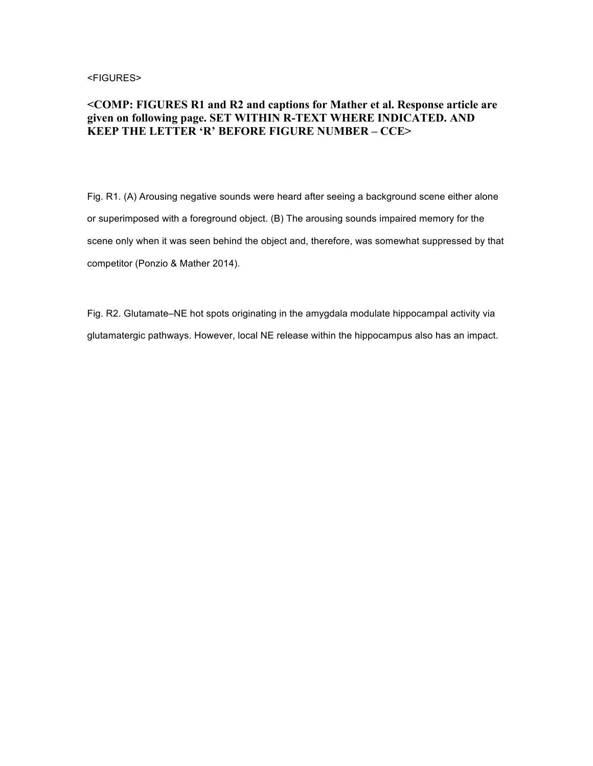<FIGURES>

# **<COMP: FIGURES R1 and R2 and captions for Mather et al. Response article are given on following page. SET WITHIN R-TEXT WHERE INDICATED. AND KEEP THE LETTER 'R' BEFORE FIGURE NUMBER – CCE>**

Fig. R1. (A) Arousing negative sounds were heard after seeing a background scene either alone or superimposed with a foreground object. (B) The arousing sounds impaired memory for the scene only when it was seen behind the object and, therefore, was somewhat suppressed by that competitor (Ponzio & Mather 2014).

Fig. R2. Glutamate–NE hot spots originating in the amygdala modulate hippocampal activity via glutamatergic pathways. However, local NE release within the hippocampus also has an impact.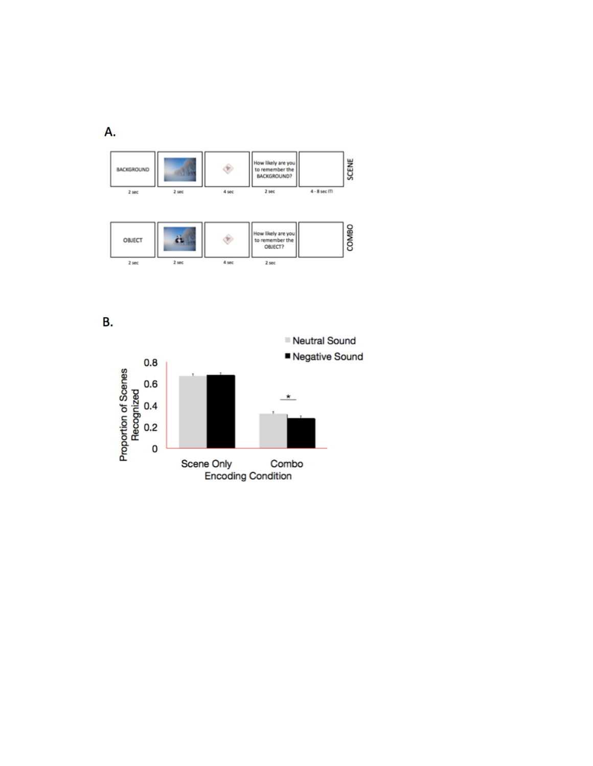A.



B.